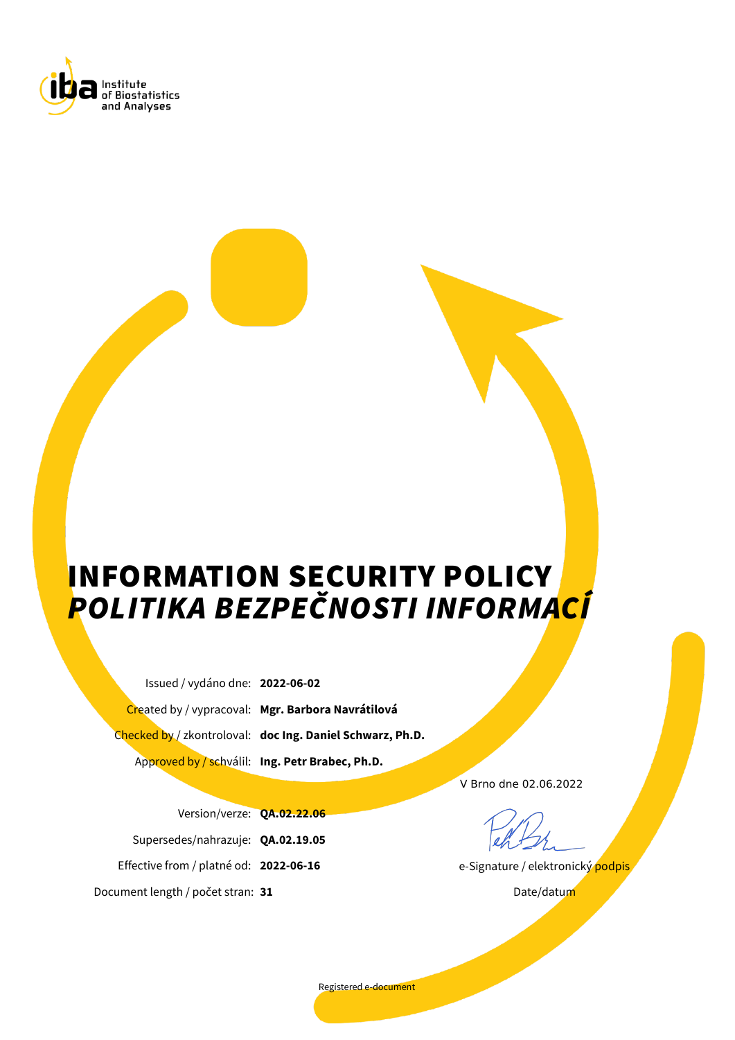

# INFORMATION SECURITY POLICY *POLITIKA BEZPEČNOSTI INFORMACÍ*

Issued / vydáno dne: **2022-06-02** Created by / vypracoval: **Mgr. Barbora Navrátilová**

Checked by / zkontroloval: **doc Ing. Daniel Schwarz, Ph.D.**

Approved by / schválil: **Ing. Petr Brabec, Ph.D.**

V Brno dne 02.06.2022

e-Signature / elektronický podpis

Date/datum

Version/verze: **QA.02.22.06** Supersedes/nahrazuje: **QA.02.19.05** Effective from / platné od: **2022-06-16** Document length / počet stran: **31**

Registered e-document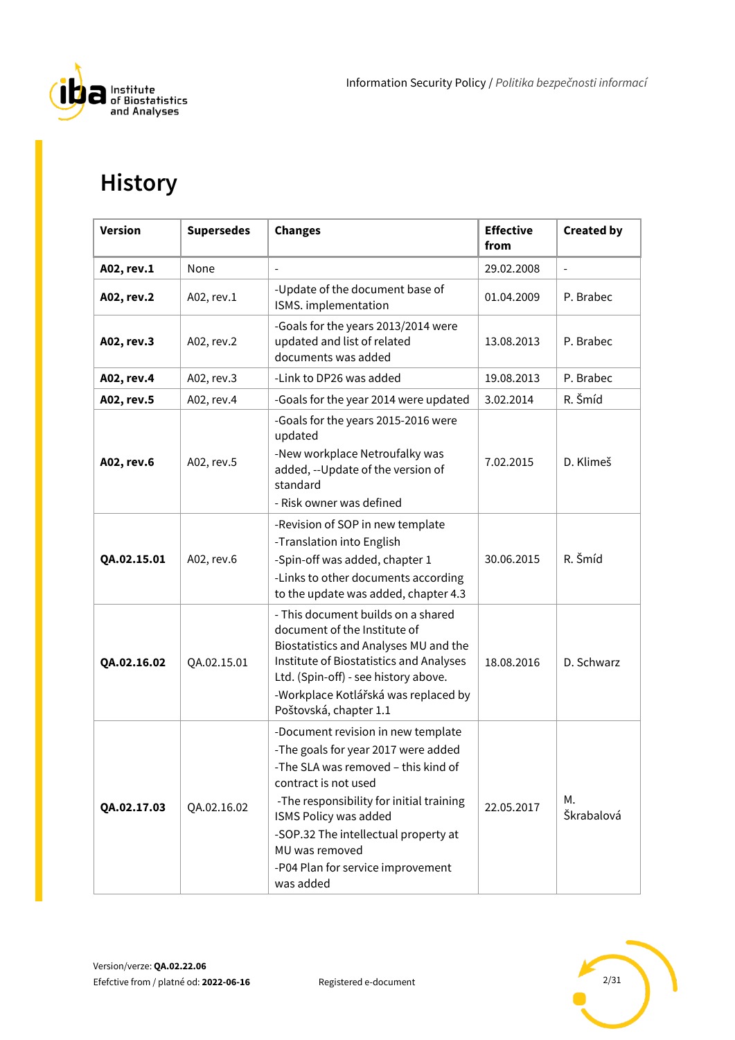

# **History**

| <b>Version</b> | <b>Supersedes</b> | <b>Changes</b>                                                                                                                                                                                                                                                                                                            | <b>Effective</b><br>from | <b>Created by</b> |
|----------------|-------------------|---------------------------------------------------------------------------------------------------------------------------------------------------------------------------------------------------------------------------------------------------------------------------------------------------------------------------|--------------------------|-------------------|
| A02, rev.1     | None              |                                                                                                                                                                                                                                                                                                                           | 29.02.2008               | $\overline{a}$    |
| A02, rev.2     | A02, rev.1        | -Update of the document base of<br>ISMS. implementation                                                                                                                                                                                                                                                                   | 01.04.2009               | P. Brabec         |
| A02, rev.3     | A02, rev.2        | -Goals for the years 2013/2014 were<br>updated and list of related<br>documents was added                                                                                                                                                                                                                                 | 13.08.2013               | P. Brabec         |
| A02, rev.4     | A02, rev.3        | -Link to DP26 was added                                                                                                                                                                                                                                                                                                   | 19.08.2013               | P. Brabec         |
| A02, rev.5     | A02, rev.4        | -Goals for the year 2014 were updated                                                                                                                                                                                                                                                                                     | 3.02.2014                | R. Šmíd           |
| A02, rev.6     | A02, rev.5        | -Goals for the years 2015-2016 were<br>updated<br>-New workplace Netroufalky was<br>added, --Update of the version of<br>standard<br>- Risk owner was defined                                                                                                                                                             | 7.02.2015                | D. Klimeš         |
| QA.02.15.01    | A02, rev.6        | -Revision of SOP in new template<br>-Translation into English<br>-Spin-off was added, chapter 1<br>-Links to other documents according<br>to the update was added, chapter 4.3                                                                                                                                            | 30.06.2015               | R. Šmíd           |
| QA.02.16.02    | QA.02.15.01       | - This document builds on a shared<br>document of the Institute of<br>Biostatistics and Analyses MU and the<br>Institute of Biostatistics and Analyses<br>Ltd. (Spin-off) - see history above.<br>-Workplace Kotlářská was replaced by<br>Poštovská, chapter 1.1                                                          | 18.08.2016               | D. Schwarz        |
| QA.02.17.03    | QA.02.16.02       | -Document revision in new template<br>-The goals for year 2017 were added<br>-The SLA was removed - this kind of<br>contract is not used<br>-The responsibility for initial training<br>ISMS Policy was added<br>-SOP.32 The intellectual property at<br>MU was removed<br>-P04 Plan for service improvement<br>was added | 22.05.2017               | М.<br>Škrabalová  |

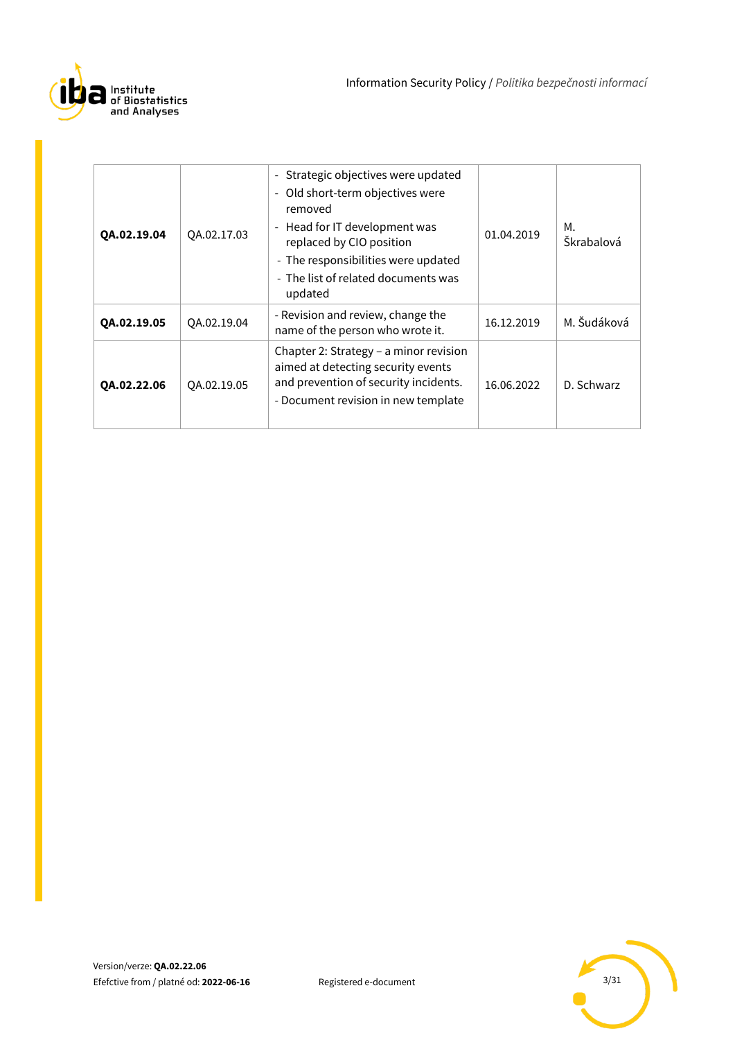

| QA.02.19.04 | QA.02.17.03 | Strategic objectives were updated<br>$\blacksquare$<br>Old short-term objectives were<br>$\blacksquare$<br>removed<br>- Head for IT development was<br>replaced by CIO position<br>- The responsibilities were updated<br>- The list of related documents was<br>updated | 01.04.2019 | М.<br>Škrabalová |
|-------------|-------------|--------------------------------------------------------------------------------------------------------------------------------------------------------------------------------------------------------------------------------------------------------------------------|------------|------------------|
| QA.02.19.05 | QA.02.19.04 | - Revision and review, change the<br>name of the person who wrote it.                                                                                                                                                                                                    | 16.12.2019 | M. Šudáková      |
| QA.02.22.06 | QA.02.19.05 | Chapter 2: Strategy - a minor revision<br>aimed at detecting security events<br>and prevention of security incidents.<br>- Document revision in new template                                                                                                             | 16.06.2022 | D. Schwarz       |

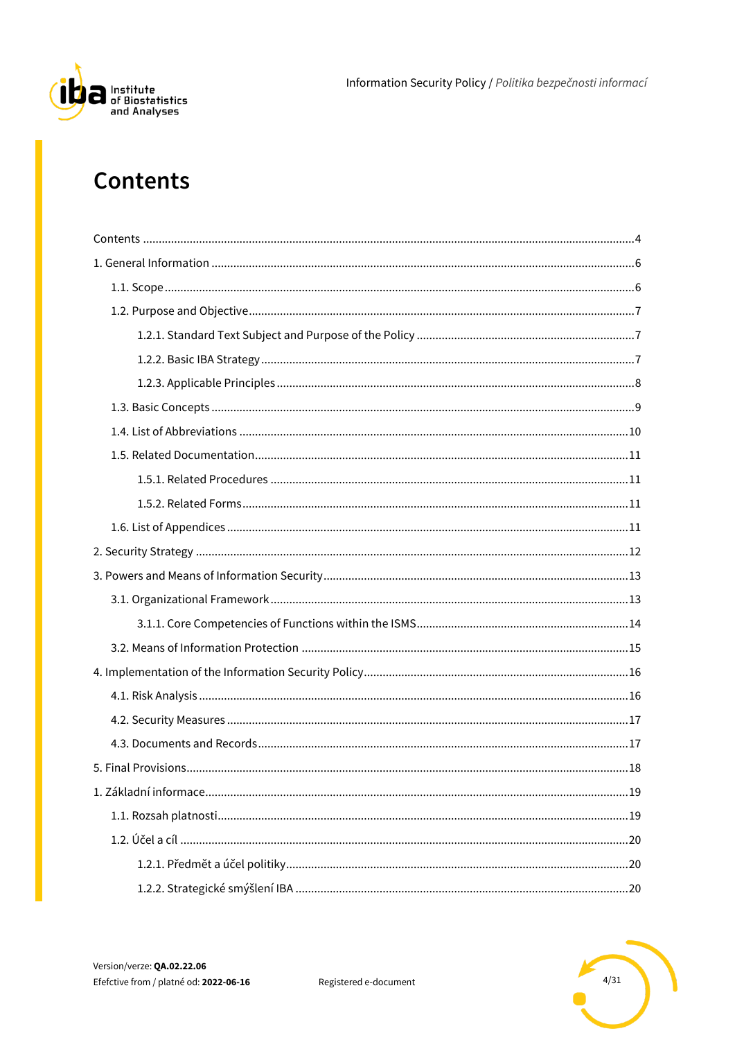

## <span id="page-3-0"></span>**Contents**

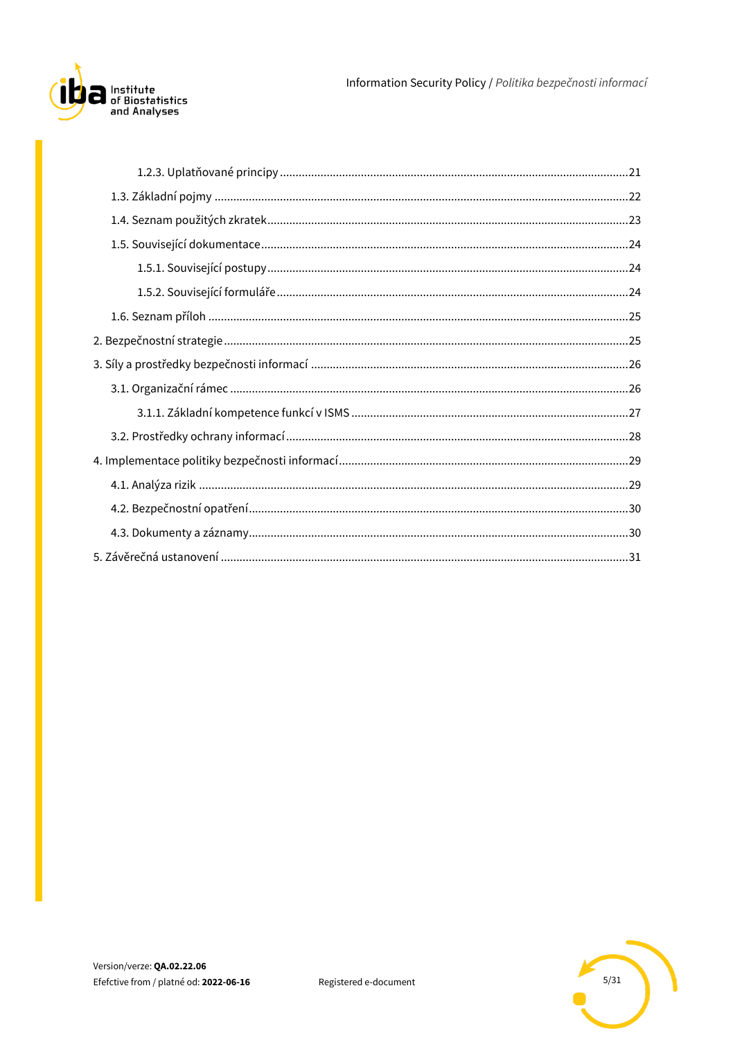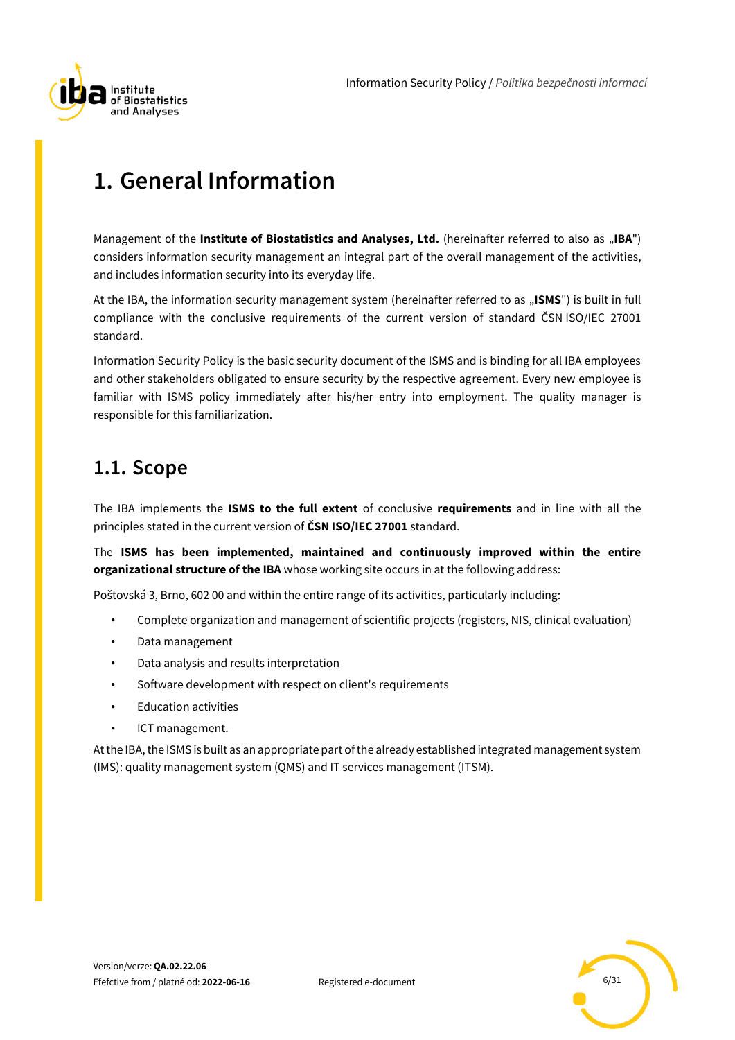

# <span id="page-5-0"></span>**1. General Information**

Management of the **Institute of Biostatistics and Analyses, Ltd.** (hereinafter referred to also as "IBA") considers information security management an integral part of the overall management of the activities, and includes information security into its everyday life.

At the IBA, the information security management system (hereinafter referred to as "ISMS") is built in full compliance with the conclusive requirements of the current version of standard ČSN ISO/IEC 27001 standard.

Information Security Policy is the basic security document of the ISMS and is binding for all IBA employees and other stakeholders obligated to ensure security by the respective agreement. Every new employee is familiar with ISMS policy immediately after his/her entry into employment. The quality manager is responsible for this familiarization.

### <span id="page-5-1"></span>**1.1. Scope**

The IBA implements the **ISMS to the full extent** of conclusive **requirements** and in line with all the principles stated in the current version of **ČSN ISO/IEC 27001** standard.

The **ISMS has been implemented, maintained and continuously improved within the entire organizational structure of the IBA** whose working site occurs in at the following address:

Poštovská 3, Brno, 602 00 and within the entire range of its activities, particularly including:

- Complete organization and management of scientific projects (registers, NIS, clinical evaluation)
- Data management
- Data analysis and results interpretation
- Software development with respect on client′s requirements
- Education activities
- ICT management.

At the IBA, the ISMS is built as an appropriate part of the already established integrated management system (IMS): quality management system (QMS) and IT services management (ITSM).

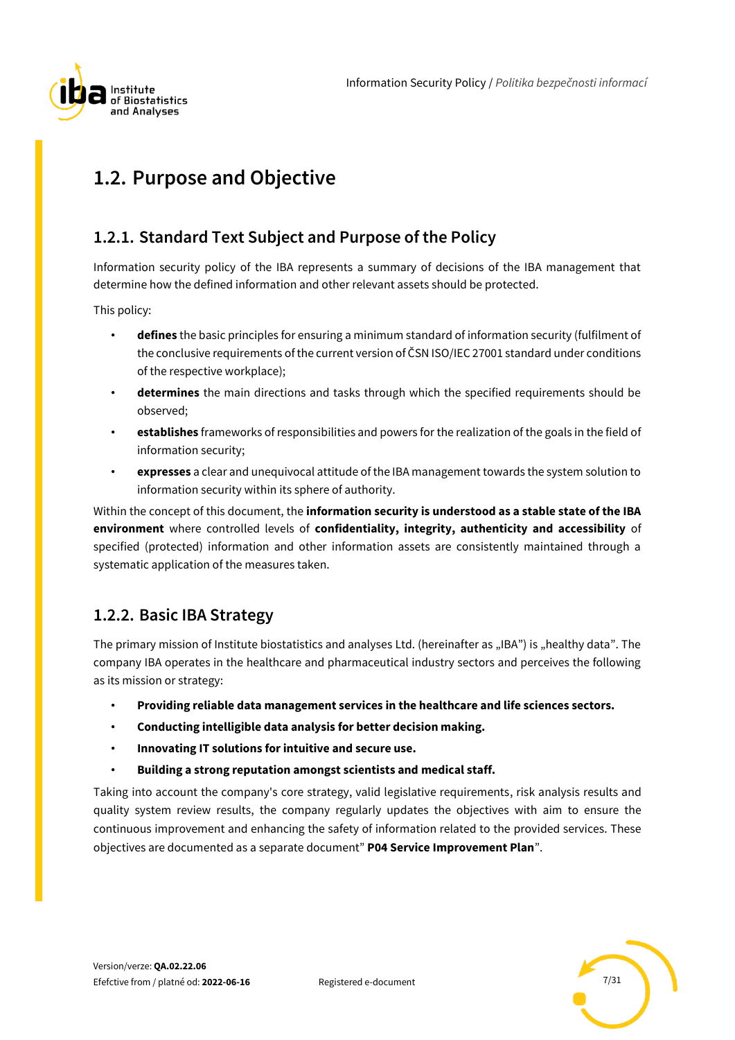

## <span id="page-6-0"></span>**1.2. Purpose and Objective**

### <span id="page-6-1"></span>**1.2.1. Standard Text Subject and Purpose of the Policy**

Information security policy of the IBA represents a summary of decisions of the IBA management that determine how the defined information and other relevant assets should be protected.

This policy:

- **defines** the basic principles for ensuring a minimum standard of information security (fulfilment of the conclusive requirements of the current version of ČSN ISO/IEC 27001 standard under conditions of the respective workplace);
- **determines** the main directions and tasks through which the specified requirements should be observed;
- **establishes** frameworks of responsibilities and powers for the realization of the goals in the field of information security;
- **expresses** a clear and unequivocal attitude of the IBA management towards the system solution to information security within its sphere of authority.

Within the concept of this document, the **information security is understood as a stable state of the IBA environment** where controlled levels of **confidentiality, integrity, authenticity and accessibility** of specified (protected) information and other information assets are consistently maintained through a systematic application of the measures taken.

### <span id="page-6-2"></span>**1.2.2. Basic IBA Strategy**

The primary mission of Institute biostatistics and analyses Ltd. (hereinafter as "IBA") is "healthy data". The company IBA operates in the healthcare and pharmaceutical industry sectors and perceives the following as its mission or strategy:

- **Providing reliable data management services in the healthcare and life sciences sectors.**
- **Conducting intelligible data analysis for better decision making.**
- **Innovating IT solutions for intuitive and secure use.**
- **Building a strong reputation amongst scientists and medical staff.**

Taking into account the company's core strategy, valid legislative requirements, risk analysis results and quality system review results, the company regularly updates the objectives with aim to ensure the continuous improvement and enhancing the safety of information related to the provided services. These objectives are documented as a separate document" **P04 Service Improvement Plan**".

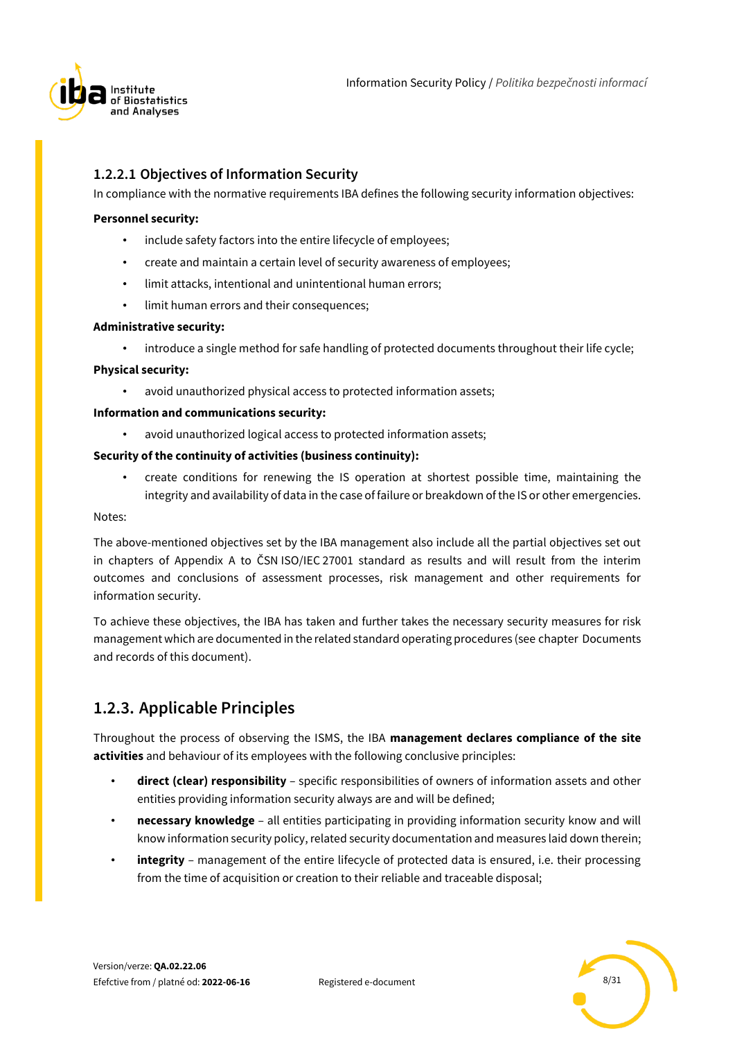

### **1.2.2.1 Objectives of Information Security**

In compliance with the normative requirements IBA defines the following security information objectives:

#### **Personnel security:**

- include safety factors into the entire lifecycle of employees;
- create and maintain a certain level of security awareness of employees;
- limit attacks, intentional and unintentional human errors;
- limit human errors and their consequences;

#### **Administrative security:**

• introduce a single method for safe handling of protected documents throughout their life cycle;

#### **Physical security:**

avoid unauthorized physical access to protected information assets:

#### **Information and communications security:**

avoid unauthorized logical access to protected information assets;

### **Security of the continuity of activities (business continuity):**

• create conditions for renewing the IS operation at shortest possible time, maintaining the integrity and availability of data in the case of failure or breakdown of the IS or other emergencies.

#### Notes:

The above-mentioned objectives set by the IBA management also include all the partial objectives set out in chapters of Appendix A to ČSN ISO/IEC 27001 standard as results and will result from the interim outcomes and conclusions of assessment processes, risk management and other requirements for information security.

To achieve these objectives, the IBA has taken and further takes the necessary security measures for risk management which are documented in the related standard operating procedures (see chapter Documents and records of this document).

### <span id="page-7-0"></span>**1.2.3. Applicable Principles**

Throughout the process of observing the ISMS, the IBA **management declares compliance of the site activities** and behaviour of its employees with the following conclusive principles:

- **direct (clear) responsibility** specific responsibilities of owners of information assets and other entities providing information security always are and will be defined;
- **necessary knowledge** all entities participating in providing information security know and will know information security policy, related security documentation and measures laid down therein;
- **integrity** management of the entire lifecycle of protected data is ensured, i.e. their processing from the time of acquisition or creation to their reliable and traceable disposal;

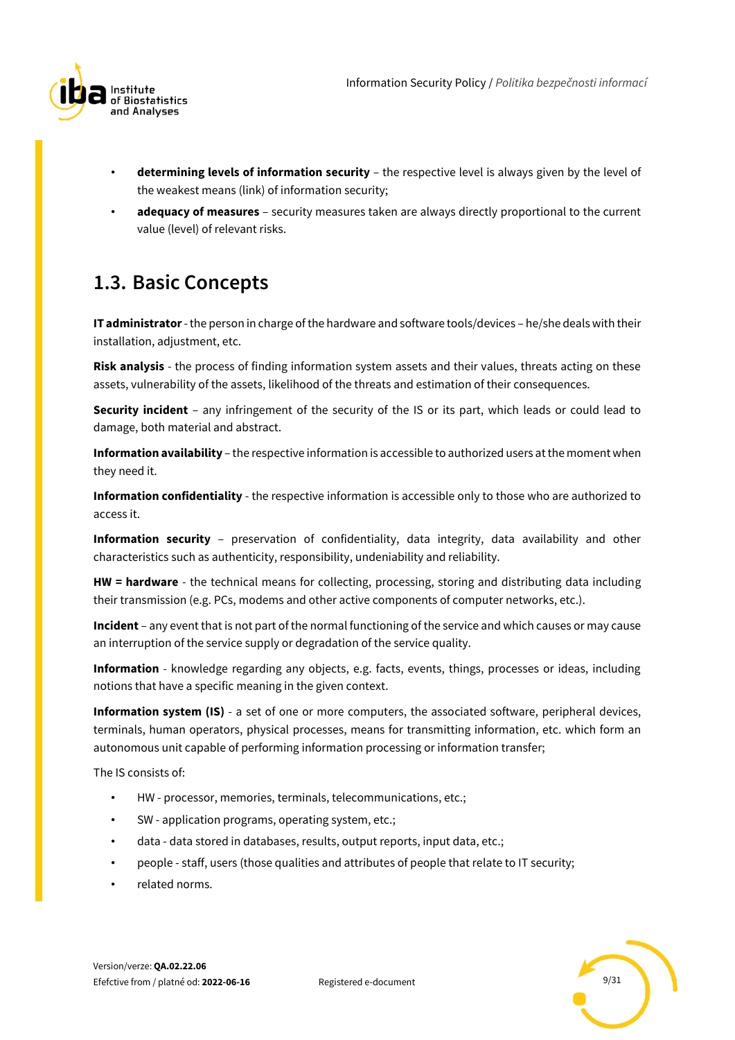

- **determining levels of information security** the respective level is always given by the level of the weakest means (link) of information security;
- **adequacy of measures** security measures taken are always directly proportional to the current value (level) of relevant risks.

## <span id="page-8-0"></span>**1.3. Basic Concepts**

**IT administrator**-the person in charge of the hardware and software tools/devices – he/she deals with their installation, adjustment, etc.

**Risk analysis** - the process of finding information system assets and their values, threats acting on these assets, vulnerability of the assets, likelihood of the threats and estimation of their consequences.

**Security incident** – any infringement of the security of the IS or its part, which leads or could lead to damage, both material and abstract.

**Information availability** – the respective information is accessible to authorized users at the moment when they need it.

**Information confidentiality** - the respective information is accessible only to those who are authorized to access it.

**Information security** – preservation of confidentiality, data integrity, data availability and other characteristics such as authenticity, responsibility, undeniability and reliability.

**HW = hardware** - the technical means for collecting, processing, storing and distributing data including their transmission (e.g. PCs, modems and other active components of computer networks, etc.).

**Incident** – any event that is not part of the normal functioning of the service and which causes or may cause an interruption of the service supply or degradation of the service quality.

**Information** - knowledge regarding any objects, e.g. facts, events, things, processes or ideas, including notions that have a specific meaning in the given context.

**Information system (IS)** - a set of one or more computers, the associated software, peripheral devices, terminals, human operators, physical processes, means for transmitting information, etc. which form an autonomous unit capable of performing information processing or information transfer;

The IS consists of:

- HW processor, memories, terminals, telecommunications, etc.;
- SW application programs, operating system, etc.;
- data data stored in databases, results, output reports, input data, etc.;
- people staff, users (those qualities and attributes of people that relate to IT security;
- related norms.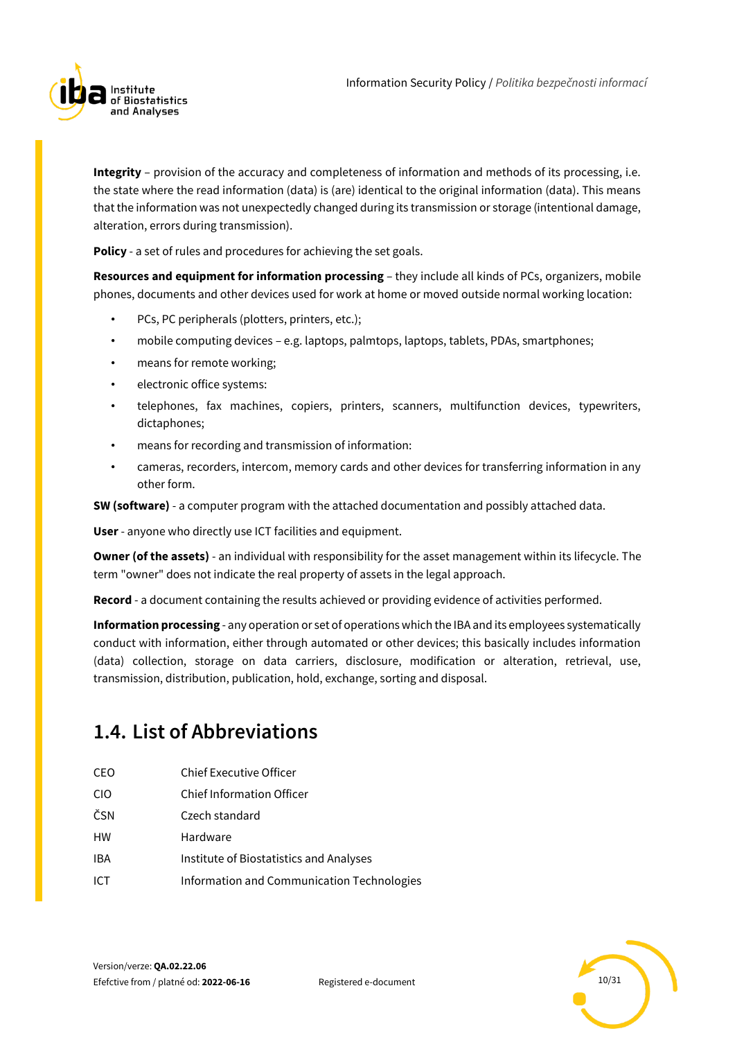

**Integrity** – provision of the accuracy and completeness of information and methods of its processing, i.e. the state where the read information (data) is (are) identical to the original information (data). This means that the information was not unexpectedly changed during its transmission or storage (intentional damage, alteration, errors during transmission).

**Policy** - a set of rules and procedures for achieving the set goals.

**Resources and equipment for information processing** – they include all kinds of PCs, organizers, mobile phones, documents and other devices used for work at home or moved outside normal working location:

- PCs, PC peripherals (plotters, printers, etc.);
- mobile computing devices e.g. laptops, palmtops, laptops, tablets, PDAs, smartphones;
- means for remote working;
- electronic office systems:
- telephones, fax machines, copiers, printers, scanners, multifunction devices, typewriters, dictaphones;
- means for recording and transmission of information:
- cameras, recorders, intercom, memory cards and other devices for transferring information in any other form.

**SW (software)** - a computer program with the attached documentation and possibly attached data.

**User** - anyone who directly use ICT facilities and equipment.

**Owner (of the assets)** - an individual with responsibility for the asset management within its lifecycle. The term "owner" does not indicate the real property of assets in the legal approach.

**Record** - a document containing the results achieved or providing evidence of activities performed.

**Information processing** - any operation or set of operations which the IBA and its employees systematically conduct with information, either through automated or other devices; this basically includes information (data) collection, storage on data carriers, disclosure, modification or alteration, retrieval, use, transmission, distribution, publication, hold, exchange, sorting and disposal.

## <span id="page-9-0"></span>**1.4. List of Abbreviations**

- CEO Chief Executive Officer
- CIO Chief Information Officer
- ČSN Czech standard
- HW Hardware
- IBA Institute of Biostatistics and Analyses
- ICT Information and Communication Technologies

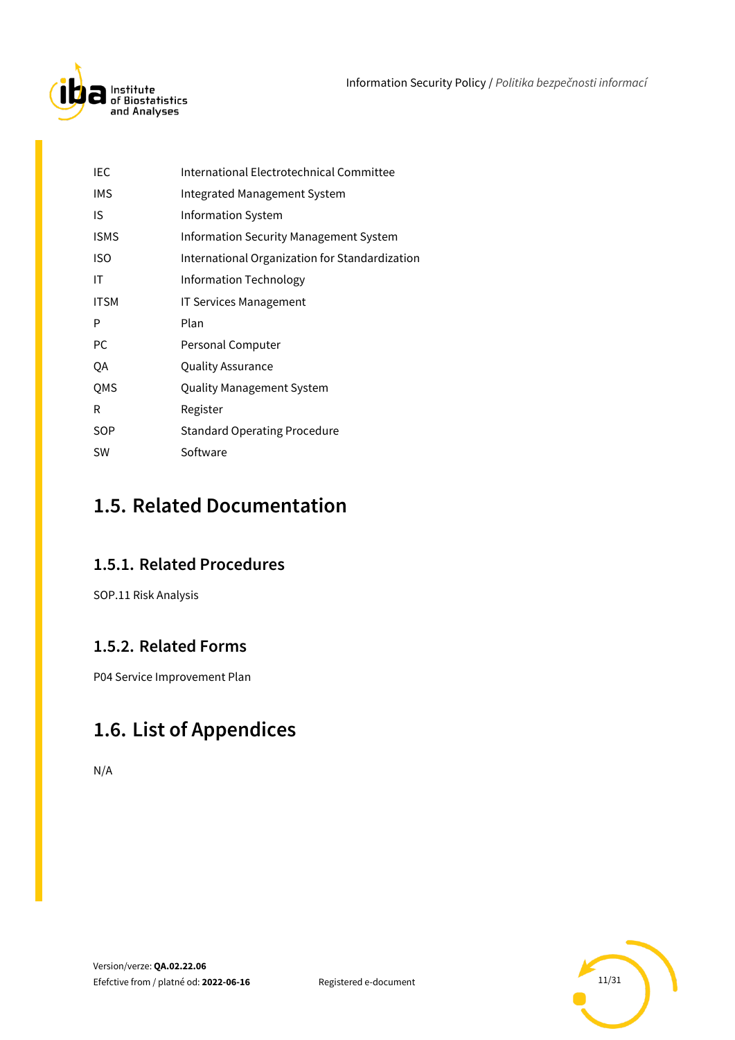

| IEC        | International Electrotechnical Committee       |
|------------|------------------------------------------------|
| <b>IMS</b> | <b>Integrated Management System</b>            |
| IS         | Information System                             |
| ISMS       | <b>Information Security Management System</b>  |
| ISO        | International Organization for Standardization |
| ΙT         | Information Technology                         |
| ITSM       | <b>IT Services Management</b>                  |
| P          | Plan                                           |
| PC         | Personal Computer                              |
| QA         | Quality Assurance                              |
| QMS        | Quality Management System                      |
| R          | Register                                       |
| SOP        | <b>Standard Operating Procedure</b>            |
| SW         | Software                                       |

## <span id="page-10-0"></span>**1.5. Related Documentation**

### <span id="page-10-1"></span>**1.5.1. Related Procedures**

SOP.11 Risk Analysis

### <span id="page-10-2"></span>**1.5.2. Related Forms**

<span id="page-10-3"></span>P04 Service Improvement Plan

## **1.6. List of Appendices**

N/A

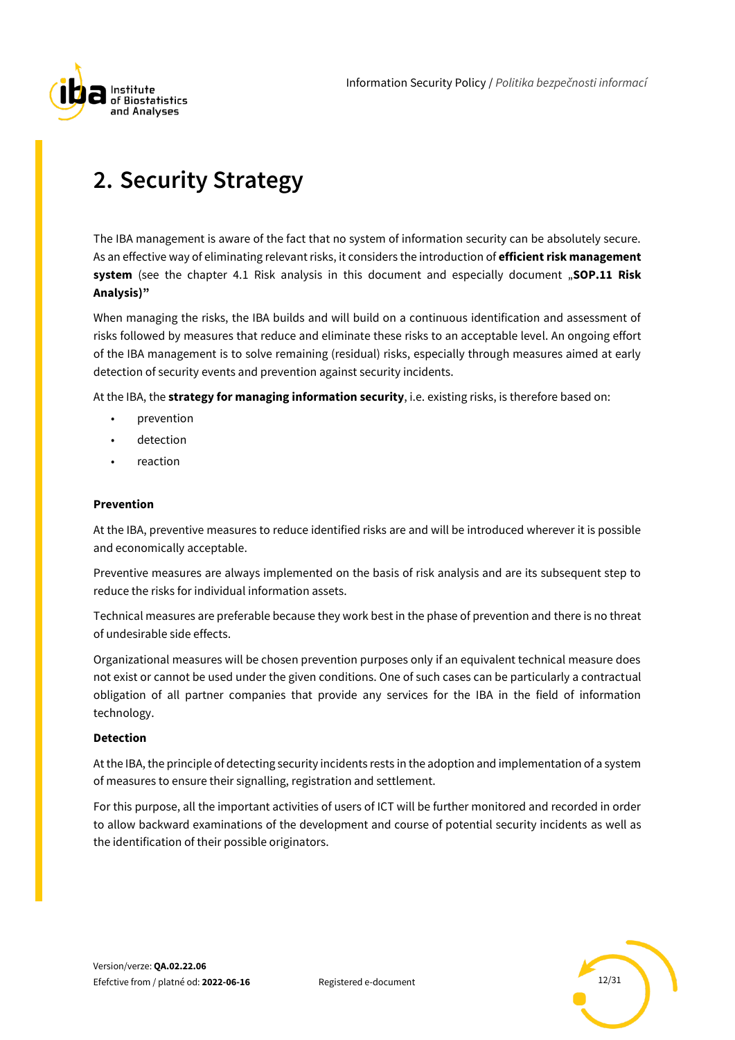

# <span id="page-11-0"></span>**2. Security Strategy**

The IBA management is aware of the fact that no system of information security can be absolutely secure. As an effective way of eliminating relevant risks, it considers the introduction of **efficient risk management system** (see the chapter 4.1 Risk analysis in this document and especially document "SOP.11 Risk **Analysis)"**

When managing the risks, the IBA builds and will build on a continuous identification and assessment of risks followed by measures that reduce and eliminate these risks to an acceptable level. An ongoing effort of the IBA management is to solve remaining (residual) risks, especially through measures aimed at early detection of security events and prevention against security incidents.

At the IBA, the **strategy for managing information security**, i.e. existing risks, is therefore based on:

- prevention
- detection
- reaction

#### **Prevention**

At the IBA, preventive measures to reduce identified risks are and will be introduced wherever it is possible and economically acceptable.

Preventive measures are always implemented on the basis of risk analysis and are its subsequent step to reduce the risks for individual information assets.

Technical measures are preferable because they work best in the phase of prevention and there is no threat of undesirable side effects.

Organizational measures will be chosen prevention purposes only if an equivalent technical measure does not exist or cannot be used under the given conditions. One of such cases can be particularly a contractual obligation of all partner companies that provide any services for the IBA in the field of information technology.

### **Detection**

At the IBA, the principle of detecting security incidents rests in the adoption and implementation of a system of measures to ensure their signalling, registration and settlement.

For this purpose, all the important activities of users of ICT will be further monitored and recorded in order to allow backward examinations of the development and course of potential security incidents as well as the identification of their possible originators.

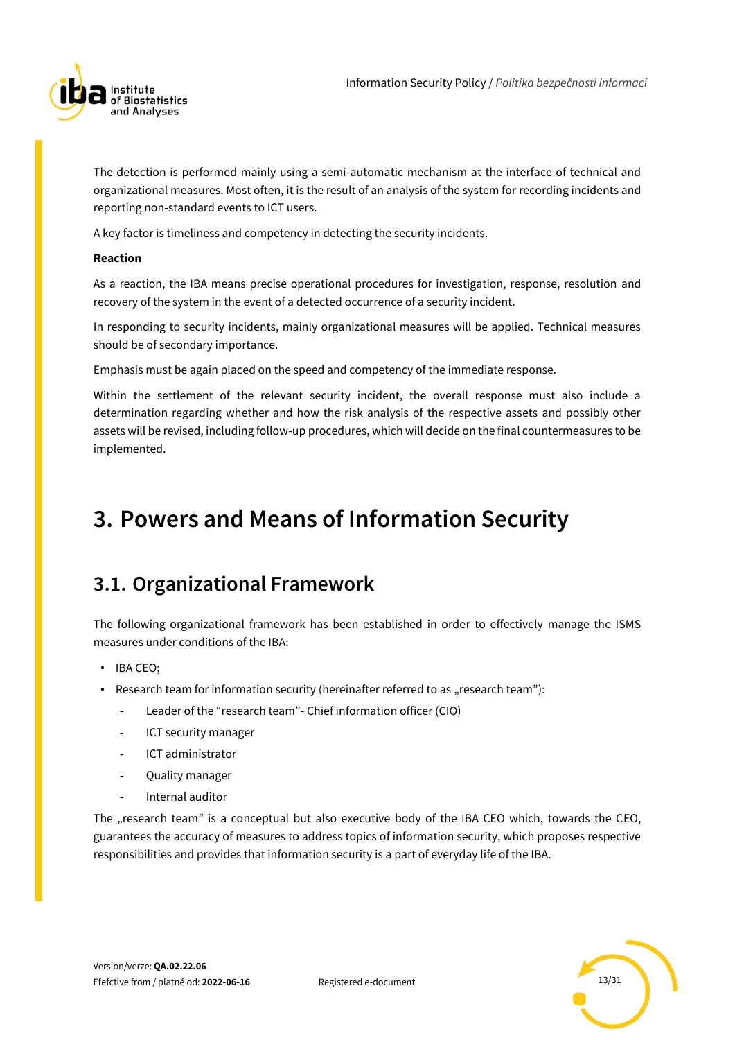

The detection is performed mainly using a semi-automatic mechanism at the interface of technical and organizational measures. Most often, it is the result of an analysis of the system for recording incidents and reporting non-standard events to ICT users.

A key factor is timeliness and competency in detecting the security incidents.

### **Reaction**

As a reaction, the IBA means precise operational procedures for investigation, response, resolution and recovery of the system in the event of a detected occurrence of a security incident.

In responding to security incidents, mainly organizational measures will be applied. Technical measures should be of secondary importance.

Emphasis must be again placed on the speed and competency of the immediate response.

Within the settlement of the relevant security incident, the overall response must also include a determination regarding whether and how the risk analysis of the respective assets and possibly other assets will be revised, including follow-up procedures, which will decide on the final countermeasures to be implemented.

## <span id="page-12-0"></span>**3. Powers and Means of Information Security**

## <span id="page-12-1"></span>**3.1. Organizational Framework**

The following organizational framework has been established in order to effectively manage the ISMS measures under conditions of the IBA:

- IBA CEO;
- Research team for information security (hereinafter referred to as "research team"):
	- Leader of the "research team"- Chief information officer (CIO)
	- ICT security manager
	- ICT administrator
	- Quality manager
	- Internal auditor

The "research team" is a conceptual but also executive body of the IBA CEO which, towards the CEO, guarantees the accuracy of measures to address topics of information security, which proposes respective responsibilities and provides that information security is a part of everyday life of the IBA.

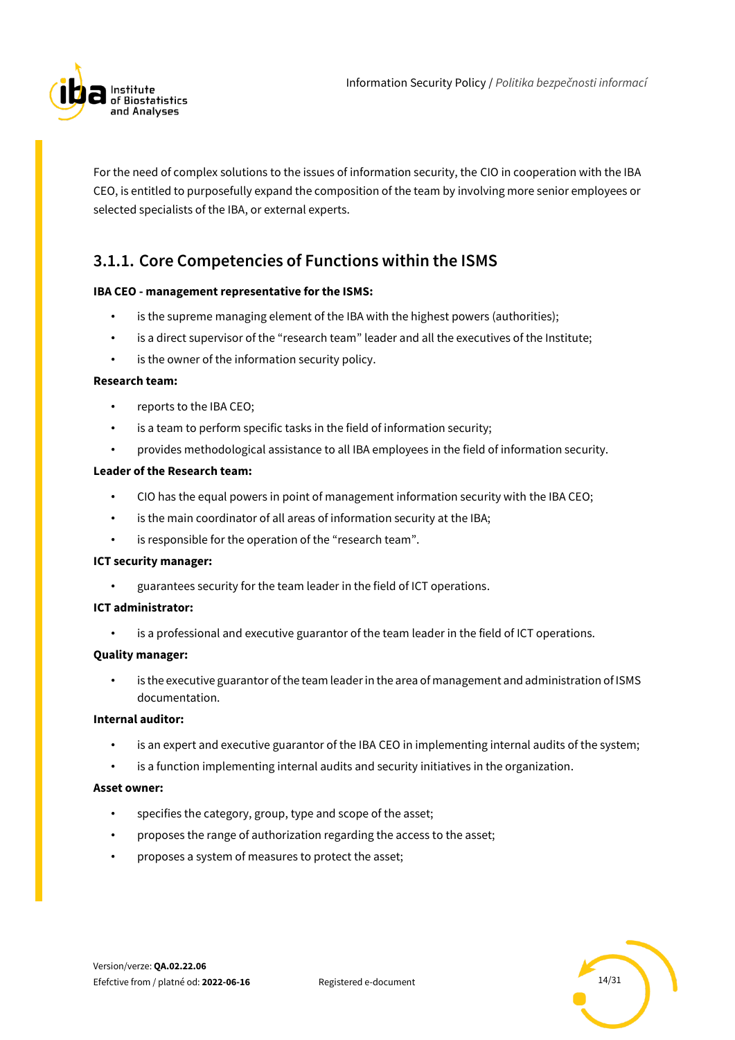

For the need of complex solutions to the issues of information security, the CIO in cooperation with the IBA CEO, is entitled to purposefully expand the composition of the team by involving more senior employees or selected specialists of the IBA, or external experts.

### <span id="page-13-0"></span>**3.1.1. Core Competencies of Functions within the ISMS**

### **IBA CEO - management representative for the ISMS:**

- is the supreme managing element of the IBA with the highest powers (authorities);
- is a direct supervisor of the "research team" leader and all the executives of the Institute;
- is the owner of the information security policy.

### **Research team:**

- reports to the IBA CEO;
- is a team to perform specific tasks in the field of information security;
- provides methodological assistance to all IBA employees in the field of information security.

#### **Leader of the Research team:**

- CIO has the equal powers in point of management information security with the IBA CEO;
- is the main coordinator of all areas of information security at the IBA;
- is responsible for the operation of the "research team".

### **ICT security manager:**

• guarantees security for the team leader in the field of ICT operations.

### **ICT administrator:**

is a professional and executive guarantor of the team leader in the field of ICT operations.

### **Quality manager:**

is the executive guarantor of the team leader in the area of management and administration of ISMS documentation.

### **Internal auditor:**

- is an expert and executive guarantor of the IBA CEO in implementing internal audits of the system;
- is a function implementing internal audits and security initiatives in the organization.

#### **Asset owner:**

- specifies the category, group, type and scope of the asset;
- proposes the range of authorization regarding the access to the asset;
- proposes a system of measures to protect the asset;

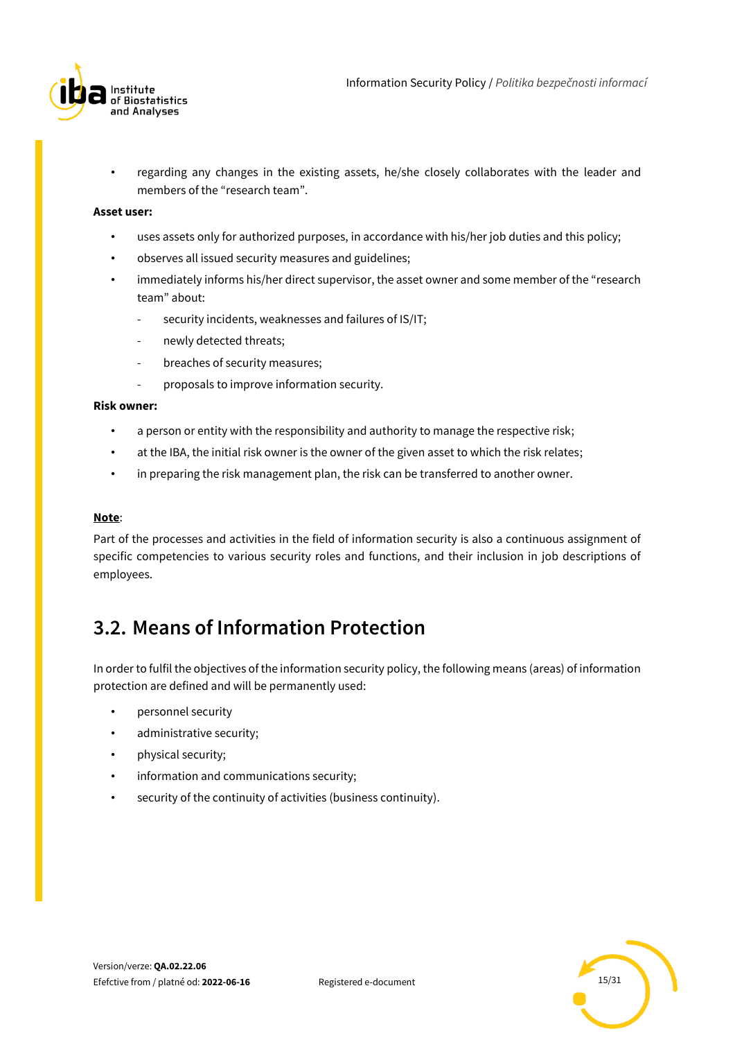

• regarding any changes in the existing assets, he/she closely collaborates with the leader and members of the "research team".

#### **Asset user:**

- uses assets only for authorized purposes, in accordance with his/her job duties and this policy;
- observes all issued security measures and guidelines;
- immediately informs his/her direct supervisor, the asset owner and some member of the "research team" about:
	- security incidents, weaknesses and failures of IS/IT;
	- newly detected threats;
	- breaches of security measures;
	- proposals to improve information security.

#### **Risk owner:**

- a person or entity with the responsibility and authority to manage the respective risk;
- at the IBA, the initial risk owner is the owner of the given asset to which the risk relates;
- in preparing the risk management plan, the risk can be transferred to another owner.

#### **Note**:

Part of the processes and activities in the field of information security is also a continuous assignment of specific competencies to various security roles and functions, and their inclusion in job descriptions of employees.

## <span id="page-14-0"></span>**3.2. Means of Information Protection**

In order to fulfil the objectives of the information security policy, the following means (areas) of information protection are defined and will be permanently used:

- personnel security
- administrative security;
- physical security;
- information and communications security;
- security of the continuity of activities (business continuity).

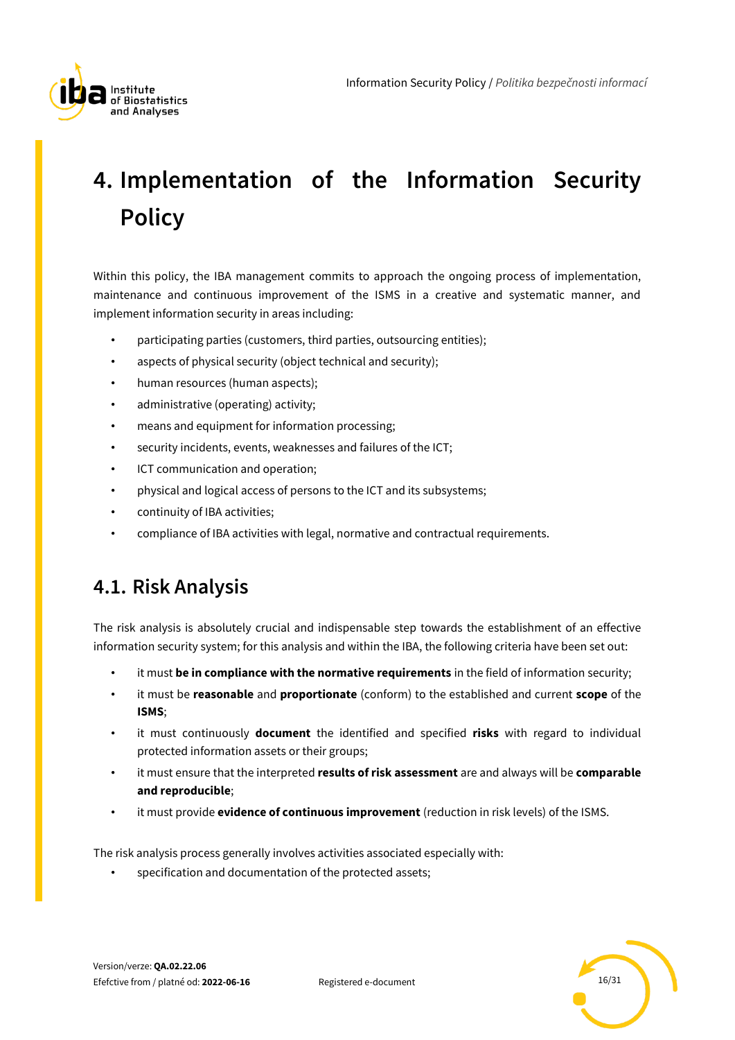

# <span id="page-15-0"></span>**4. Implementation of the Information Security Policy**

Within this policy, the IBA management commits to approach the ongoing process of implementation, maintenance and continuous improvement of the ISMS in a creative and systematic manner, and implement information security in areas including:

- participating parties (customers, third parties, outsourcing entities);
- aspects of physical security (object technical and security);
- human resources (human aspects);
- administrative (operating) activity;
- means and equipment for information processing;
- security incidents, events, weaknesses and failures of the ICT;
- ICT communication and operation;
- physical and logical access of persons to the ICT and its subsystems;
- continuity of IBA activities;
- compliance of IBA activities with legal, normative and contractual requirements.

## <span id="page-15-1"></span>**4.1. Risk Analysis**

The risk analysis is absolutely crucial and indispensable step towards the establishment of an effective information security system; for this analysis and within the IBA, the following criteria have been set out:

- it must **be in compliance with the normative requirements** in the field of information security;
- it must be **reasonable** and **proportionate** (conform) to the established and current **scope** of the **ISMS**;
- it must continuously **document** the identified and specified **risks** with regard to individual protected information assets or their groups;
- it must ensure that the interpreted **results of risk assessment** are and always will be **comparable and reproducible**;
- it must provide **evidence of continuous improvement** (reduction in risk levels) of the ISMS.

The risk analysis process generally involves activities associated especially with:

specification and documentation of the protected assets;

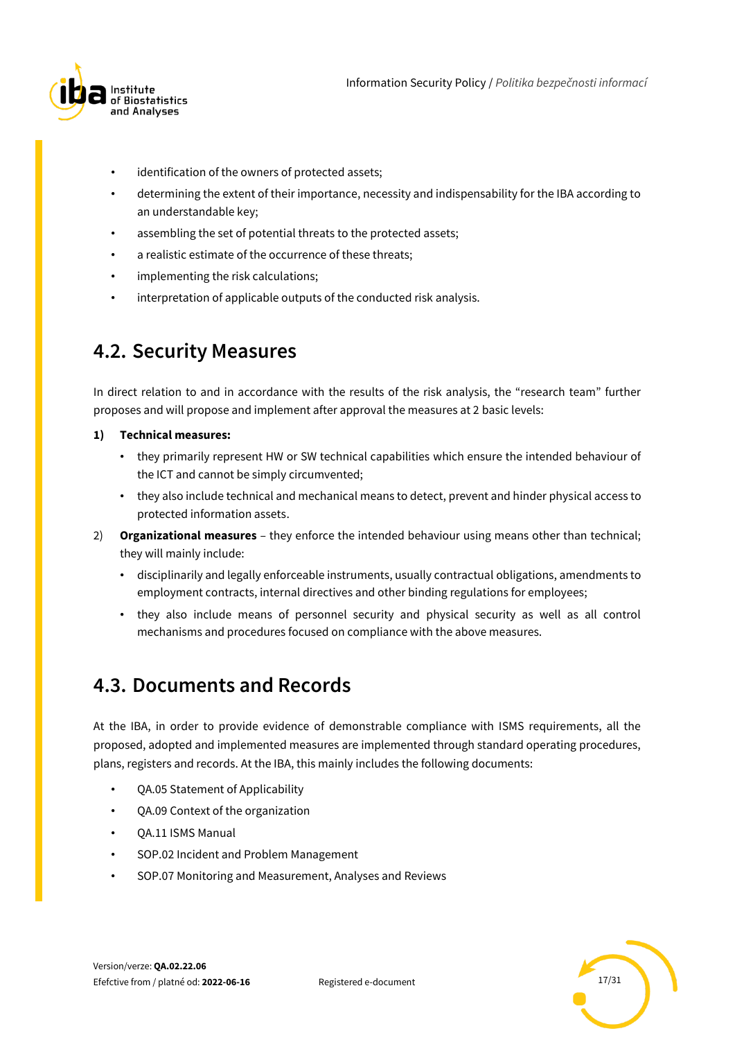

- identification of the owners of protected assets;
- determining the extent of their importance, necessity and indispensability for the IBA according to an understandable key;
- assembling the set of potential threats to the protected assets;
- a realistic estimate of the occurrence of these threats;
- implementing the risk calculations;
- interpretation of applicable outputs of the conducted risk analysis.

## <span id="page-16-0"></span>**4.2. Security Measures**

In direct relation to and in accordance with the results of the risk analysis, the "research team" further proposes and will propose and implement after approval the measures at 2 basic levels:

### **1) Technical measures:**

- they primarily represent HW or SW technical capabilities which ensure the intended behaviour of the ICT and cannot be simply circumvented;
- they also include technical and mechanical means to detect, prevent and hinder physical access to protected information assets.
- 2) **Organizational measures** they enforce the intended behaviour using means other than technical; they will mainly include:
	- disciplinarily and legally enforceable instruments, usually contractual obligations, amendments to employment contracts, internal directives and other binding regulations for employees;
	- they also include means of personnel security and physical security as well as all control mechanisms and procedures focused on compliance with the above measures.

### <span id="page-16-1"></span>**4.3. Documents and Records**

At the IBA, in order to provide evidence of demonstrable compliance with ISMS requirements, all the proposed, adopted and implemented measures are implemented through standard operating procedures, plans, registers and records. At the IBA, this mainly includes the following documents:

- QA.05 Statement of Applicability
- QA.09 Context of the organization
- QA.11 ISMS Manual
- SOP.02 Incident and Problem Management
- SOP.07 Monitoring and Measurement, Analyses and Reviews

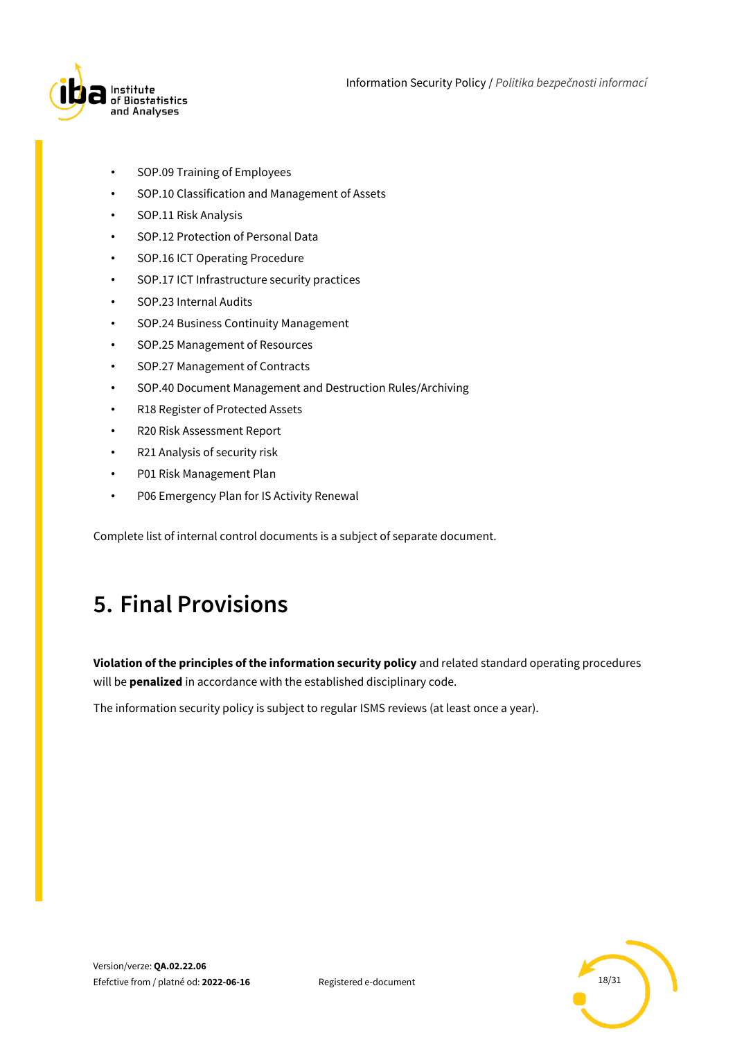

Information Security Policy / *Politika bezpečnosti informací*

- SOP.09 Training of Employees
- SOP.10 Classification and Management of Assets
- SOP.11 Risk Analysis
- SOP.12 Protection of Personal Data
- SOP.16 ICT Operating Procedure
- SOP.17 ICT Infrastructure security practices
- SOP.23 Internal Audits
- SOP.24 Business Continuity Management
- SOP.25 Management of Resources
- SOP.27 Management of Contracts
- SOP.40 Document Management and Destruction Rules/Archiving
- R18 Register of Protected Assets
- R20 Risk Assessment Report
- R21 Analysis of security risk
- P01 Risk Management Plan
- P06 Emergency Plan for IS Activity Renewal

<span id="page-17-0"></span>Complete list of internal control documents is a subject of separate document.

## **5. Final Provisions**

**Violation of the principles of the information security policy** and related standard operating procedures will be **penalized** in accordance with the established disciplinary code.

The information security policy is subject to regular ISMS reviews (at least once a year).

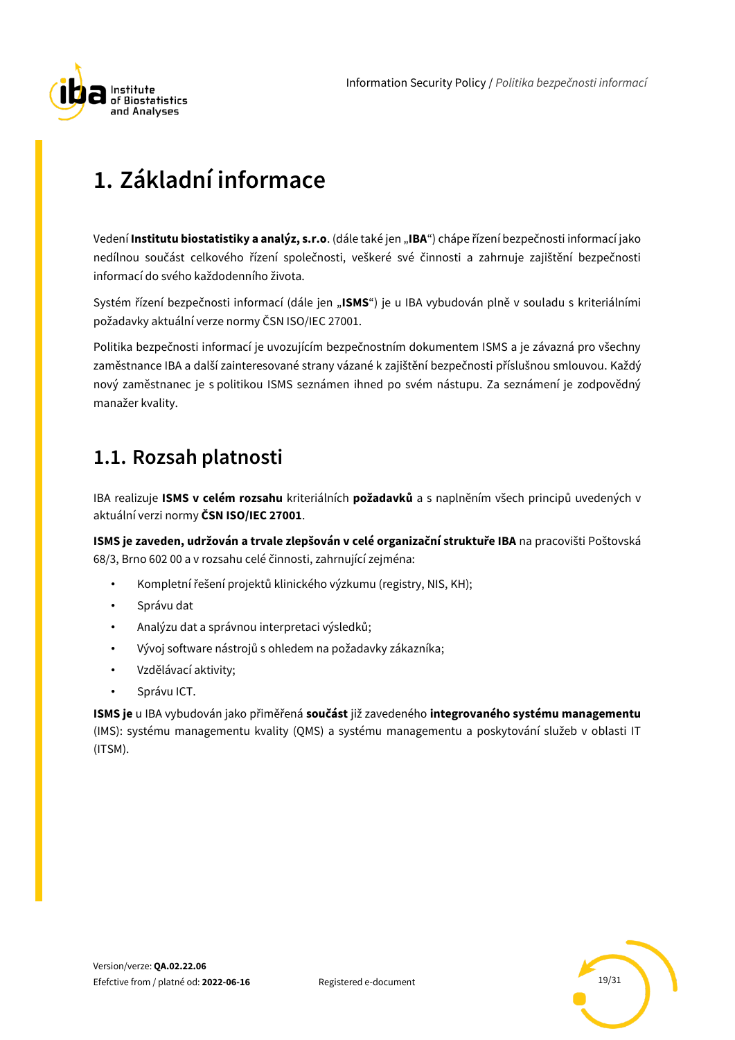

# <span id="page-18-0"></span>**1. Základní informace**

Vedení **Institutu biostatistiky a analýz, s.r.o**. (dále také jen "**IBA**") chápe řízení bezpečnosti informací jako nedílnou součást celkového řízení společnosti, veškeré své činnosti a zahrnuje zajištění bezpečnosti informací do svého každodenního života.

Systém řízení bezpečnosti informací (dále jen "ISMS") je u IBA vybudován plně v souladu s kriteriálními požadavky aktuální verze normy ČSN ISO/IEC 27001.

Politika bezpečnosti informací je uvozujícím bezpečnostním dokumentem ISMS a je závazná pro všechny zaměstnance IBA a další zainteresované strany vázané k zajištění bezpečnosti příslušnou smlouvou. Každý nový zaměstnanec je s politikou ISMS seznámen ihned po svém nástupu. Za seznámení je zodpovědný manažer kvality.

## <span id="page-18-1"></span>**1.1. Rozsah platnosti**

IBA realizuje **ISMS v celém rozsahu** kriteriálních **požadavků** a s naplněním všech principů uvedených v aktuální verzi normy **ČSN ISO/IEC 27001**.

**ISMS je zaveden, udržován a trvale zlepšován v celé organizační struktuře IBA** na pracovišti Poštovská 68/3, Brno 602 00 a v rozsahu celé činnosti, zahrnující zejména:

- Kompletní řešení projektů klinického výzkumu (registry, NIS, KH);
- Správu dat
- Analýzu dat a správnou interpretaci výsledků;
- Vývoj software nástrojů s ohledem na požadavky zákazníka;
- Vzdělávací aktivity;
- Správu ICT.

**ISMS je** u IBA vybudován jako přiměřená **součást** již zavedeného **integrovaného systému managementu** (IMS): systému managementu kvality (QMS) a systému managementu a poskytování služeb v oblasti IT (ITSM).

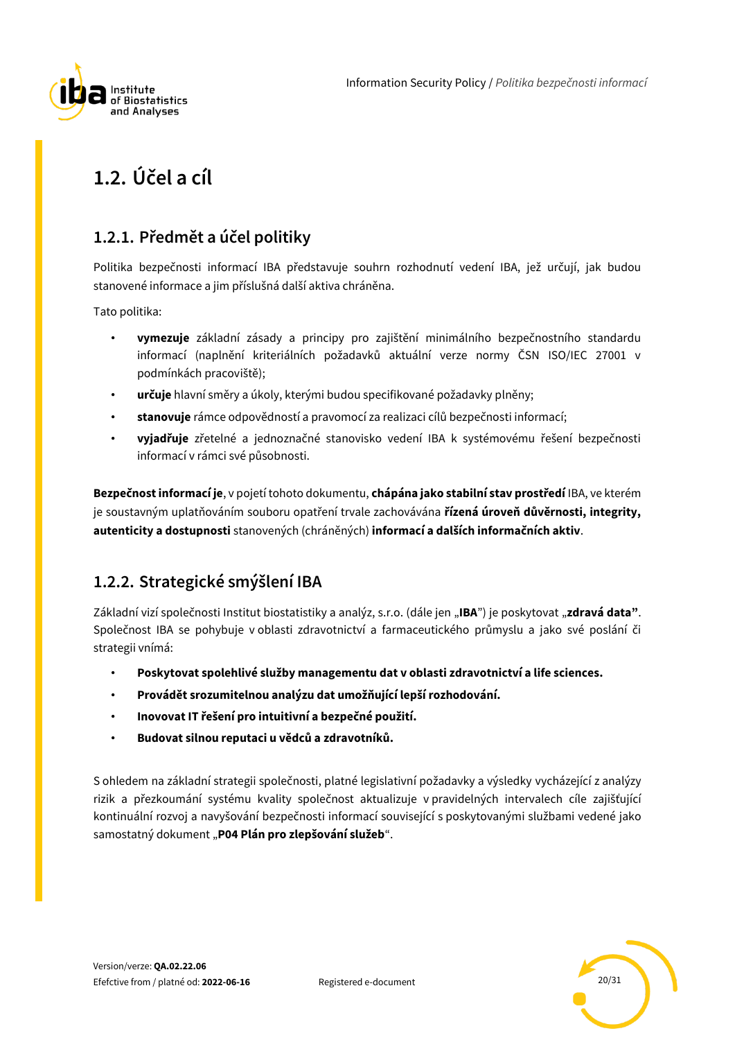

## <span id="page-19-0"></span>**1.2. Účel a cíl**

### <span id="page-19-1"></span>**1.2.1. Předmět a účel politiky**

Politika bezpečnosti informací IBA představuje souhrn rozhodnutí vedení IBA, jež určují, jak budou stanovené informace a jim příslušná další aktiva chráněna.

Tato politika:

- **vymezuje** základní zásady a principy pro zajištění minimálního bezpečnostního standardu informací (naplnění kriteriálních požadavků aktuální verze normy ČSN ISO/IEC 27001 v podmínkách pracoviště);
- **určuje** hlavní směry a úkoly, kterými budou specifikované požadavky plněny;
- **stanovuje** rámce odpovědností a pravomocí za realizaci cílů bezpečnosti informací;
- **vyjadřuje** zřetelné a jednoznačné stanovisko vedení IBA k systémovému řešení bezpečnosti informací v rámci své působnosti.

**Bezpečnost informací je**, v pojetí tohoto dokumentu, **chápána jako stabilní stav prostředí** IBA, ve kterém je soustavným uplatňováním souboru opatření trvale zachovávána **řízená úroveň důvěrnosti, integrity, autenticity a dostupnosti** stanovených (chráněných) **informací a dalších informačních aktiv**.

### <span id="page-19-2"></span>**1.2.2. Strategické smýšlení IBA**

Základní vizí společnosti Institut biostatistiky a analýz, s.r.o. (dále jen "**IBA**") je poskytovat "**zdravá data"**. Společnost IBA se pohybuje v oblasti zdravotnictví a farmaceutického průmyslu a jako své poslání či strategii vnímá:

- **Poskytovat spolehlivé služby managementu dat v oblasti zdravotnictví a life sciences.**
- **Provádět srozumitelnou analýzu dat umožňující lepší rozhodování.**
- **Inovovat IT řešení pro intuitivní a bezpečné použití.**
- **Budovat silnou reputaci u vědců a zdravotníků.**

S ohledem na základní strategii společnosti, platné legislativní požadavky a výsledky vycházející z analýzy rizik a přezkoumání systému kvality společnost aktualizuje v pravidelných intervalech cíle zajišťující kontinuální rozvoj a navyšování bezpečnosti informací související s poskytovanými službami vedené jako samostatný dokument "**P04 Plán pro zlepšování služeb**".

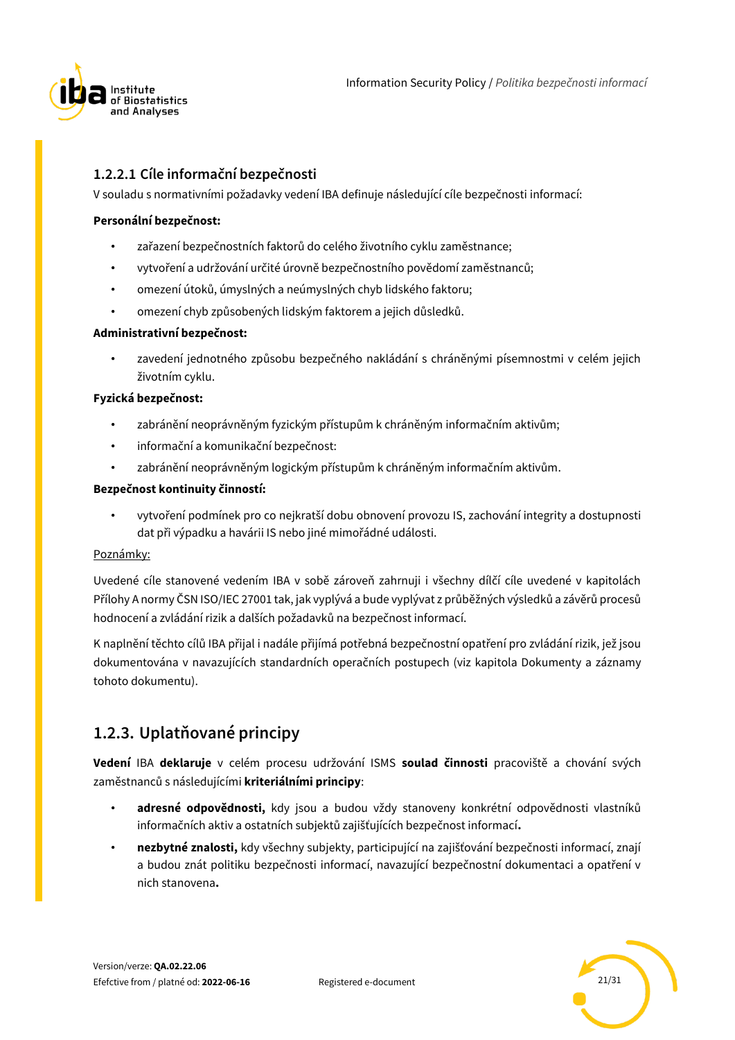

### **1.2.2.1 Cíle informační bezpečnosti**

V souladu s normativními požadavky vedení IBA definuje následující cíle bezpečnosti informací:

### **Personální bezpečnost:**

- zařazení bezpečnostních faktorů do celého životního cyklu zaměstnance;
- vytvoření a udržování určité úrovně bezpečnostního povědomí zaměstnanců;
- omezení útoků, úmyslných a neúmyslných chyb lidského faktoru;
- omezení chyb způsobených lidským faktorem a jejich důsledků.

### **Administrativní bezpečnost:**

• zavedení jednotného způsobu bezpečného nakládání s chráněnými písemnostmi v celém jejich životním cyklu.

### **Fyzická bezpečnost:**

- zabránění neoprávněným fyzickým přístupům k chráněným informačním aktivům;
- informační a komunikační bezpečnost:
- zabránění neoprávněným logickým přístupům k chráněným informačním aktivům.

### **Bezpečnost kontinuity činností:**

• vytvoření podmínek pro co nejkratší dobu obnovení provozu IS, zachování integrity a dostupnosti dat při výpadku a havárii IS nebo jiné mimořádné události.

### Poznámky:

Uvedené cíle stanovené vedením IBA v sobě zároveň zahrnuji i všechny dílčí cíle uvedené v kapitolách Přílohy A normy ČSN ISO/IEC 27001 tak, jak vyplývá a bude vyplývat z průběžných výsledků a závěrů procesů hodnocení a zvládání rizik a dalších požadavků na bezpečnost informací.

K naplnění těchto cílů IBA přijal i nadále přijímá potřebná bezpečnostní opatření pro zvládání rizik, jež jsou dokumentována v navazujících standardních operačních postupech (viz kapitola Dokumenty a záznamy tohoto dokumentu).

### <span id="page-20-0"></span>**1.2.3. Uplatňované principy**

**Vedení** IBA **deklaruje** v celém procesu udržování ISMS **soulad činnosti** pracoviště a chování svých zaměstnanců s následujícími **kriteriálními principy**:

- **adresné odpovědnosti,** kdy jsou a budou vždy stanoveny konkrétní odpovědnosti vlastníků informačních aktiv a ostatních subjektů zajišťujících bezpečnost informací**.**
- **nezbytné znalosti,** kdy všechny subjekty, participující na zajišťování bezpečnosti informací, znají a budou znát politiku bezpečnosti informací, navazující bezpečnostní dokumentaci a opatření v nich stanovena**.**

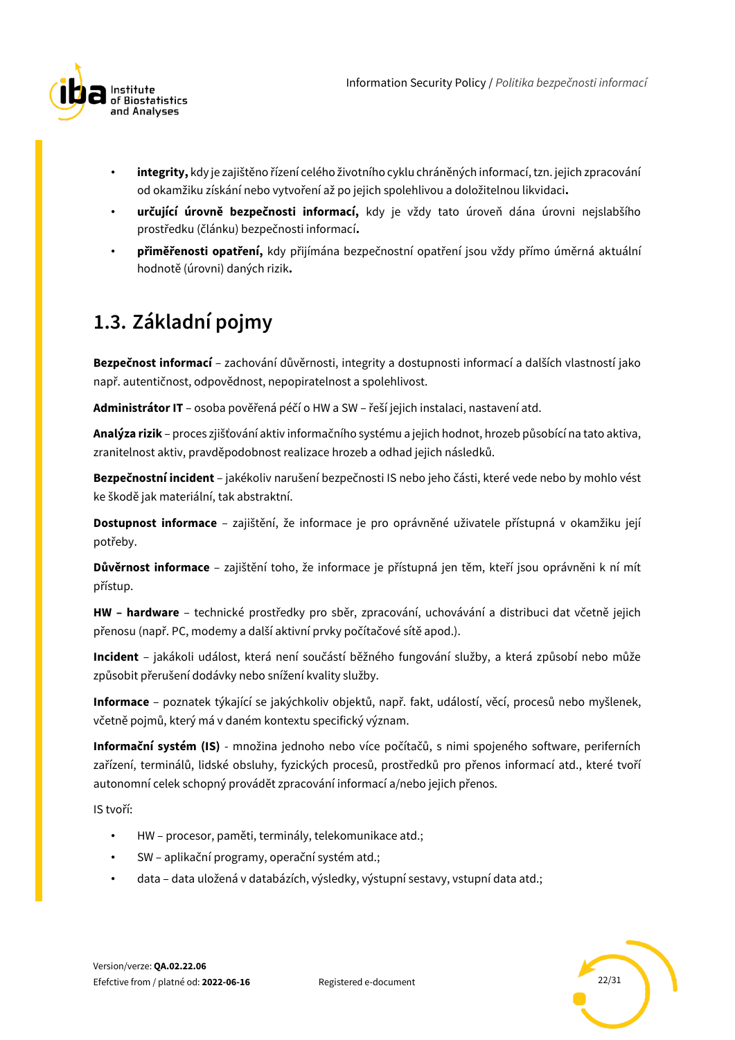

- **integrity,** kdy je zajištěno řízení celého životního cyklu chráněných informací, tzn. jejich zpracování od okamžiku získání nebo vytvoření až po jejich spolehlivou a doložitelnou likvidaci**.**
- **určující úrovně bezpečnosti informací,** kdy je vždy tato úroveň dána úrovni nejslabšího prostředku (článku) bezpečnosti informací**.**
- **přiměřenosti opatření,** kdy přijímána bezpečnostní opatření jsou vždy přímo úměrná aktuální hodnotě (úrovni) daných rizik**.**

## <span id="page-21-0"></span>**1.3. Základní pojmy**

**Bezpečnost informací** – zachování důvěrnosti, integrity a dostupnosti informací a dalších vlastností jako např. autentičnost, odpovědnost, nepopiratelnost a spolehlivost.

**Administrátor IT** – osoba pověřená péčí o HW a SW – řeší jejich instalaci, nastavení atd.

**Analýza rizik** – proces zjišťování aktiv informačního systému a jejich hodnot, hrozeb působící na tato aktiva, zranitelnost aktiv, pravděpodobnost realizace hrozeb a odhad jejich následků.

**Bezpečnostní incident** – jakékoliv narušení bezpečnosti IS nebo jeho části, které vede nebo by mohlo vést ke škodě jak materiální, tak abstraktní.

**Dostupnost informace** – zajištění, že informace je pro oprávněné uživatele přístupná v okamžiku její potřeby.

**Důvěrnost informace** – zajištění toho, že informace je přístupná jen těm, kteří jsou oprávněni k ní mít přístup.

**HW – hardware** – technické prostředky pro sběr, zpracování, uchovávání a distribuci dat včetně jejich přenosu (např. PC, modemy a další aktivní prvky počítačové sítě apod.).

**Incident** – jakákoli událost, která není součástí běžného fungování služby, a která způsobí nebo může způsobit přerušení dodávky nebo snížení kvality služby.

**Informace** – poznatek týkající se jakýchkoliv objektů, např. fakt, událostí, věcí, procesů nebo myšlenek, včetně pojmů, který má v daném kontextu specifický význam.

**Informační systém (IS)** - množina jednoho nebo více počítačů, s nimi spojeného software, periferních zařízení, terminálů, lidské obsluhy, fyzických procesů, prostředků pro přenos informací atd., které tvoří autonomní celek schopný provádět zpracování informací a/nebo jejich přenos.

IS tvoří:

- HW procesor, paměti, terminály, telekomunikace atd.;
- SW aplikační programy, operační systém atd.;
- data data uložená v databázích, výsledky, výstupní sestavy, vstupní data atd.;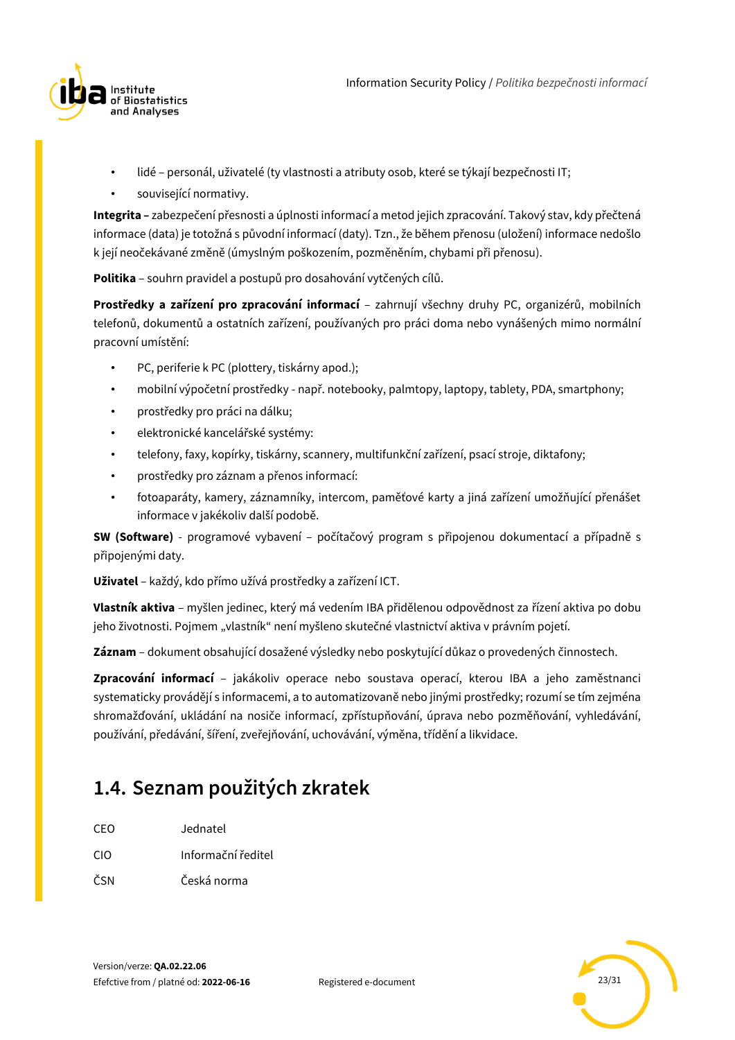

- lidé personál, uživatelé (ty vlastnosti a atributy osob, které se týkají bezpečnosti IT;
- související normativy.

**Integrita –** zabezpečení přesnosti a úplnosti informací a metod jejich zpracování. Takový stav, kdy přečtená informace (data) je totožná s původní informací (daty). Tzn., že během přenosu (uložení) informace nedošlo k její neočekávané změně (úmyslným poškozením, pozměněním, chybami při přenosu).

**Politika** – souhrn pravidel a postupů pro dosahování vytčených cílů.

**Prostředky a zařízení pro zpracování informací** – zahrnují všechny druhy PC, organizérů, mobilních telefonů, dokumentů a ostatních zařízení, používaných pro práci doma nebo vynášených mimo normální pracovní umístění:

- PC, periferie k PC (plottery, tiskárny apod.);
- mobilní výpočetní prostředky např. notebooky, palmtopy, laptopy, tablety, PDA, smartphony;
- prostředky pro práci na dálku;
- elektronické kancelářské systémy:
- telefony, faxy, kopírky, tiskárny, scannery, multifunkční zařízení, psací stroje, diktafony;
- prostředky pro záznam a přenos informací:
- fotoaparáty, kamery, záznamníky, intercom, paměťové karty a jiná zařízení umožňující přenášet informace v jakékoliv další podobě.

**SW (Software)** - programové vybavení – počítačový program s připojenou dokumentací a případně s připojenými daty.

**Uživatel** – každý, kdo přímo užívá prostředky a zařízení ICT.

**Vlastník aktiva** – myšlen jedinec, který má vedením IBA přidělenou odpovědnost za řízení aktiva po dobu jeho životnosti. Pojmem "vlastník" není myšleno skutečné vlastnictví aktiva v právním pojetí.

**Záznam** – dokument obsahující dosažené výsledky nebo poskytující důkaz o provedených činnostech.

**Zpracování informací** – jakákoliv operace nebo soustava operací, kterou IBA a jeho zaměstnanci systematicky provádějí s informacemi, a to automatizovaně nebo jinými prostředky; rozumí se tím zejména shromažďování, ukládání na nosiče informací, zpřístupňování, úprava nebo pozměňování, vyhledávání, používání, předávání, šíření, zveřejňování, uchovávání, výměna, třídění a likvidace.

## <span id="page-22-0"></span>**1.4. Seznam použitých zkratek**

| CEO | Jednatel |
|-----|----------|
|     |          |

- CIO Informační ředitel
- ČSN Česká norma

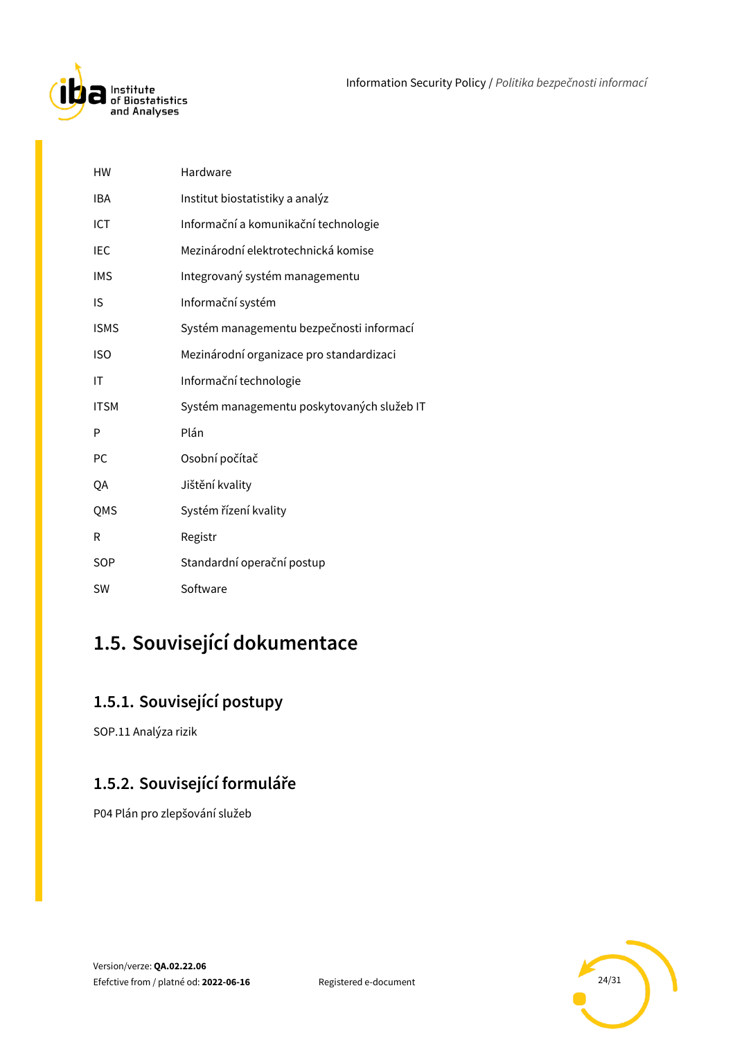

| HW          | Hardware                                   |
|-------------|--------------------------------------------|
| <b>IBA</b>  | Institut biostatistiky a analýz            |
| ICT         | Informační a komunikační technologie       |
| IEC         | Mezinárodní elektrotechnická komise        |
| <b>IMS</b>  | Integrovaný systém managementu             |
| IS          | Informační systém                          |
| <b>ISMS</b> | Systém managementu bezpečnosti informací   |
| <b>ISO</b>  | Mezinárodní organizace pro standardizaci   |
| IT          | Informační technologie                     |
| <b>ITSM</b> | Systém managementu poskytovaných služeb IT |
| P           | Plán                                       |
| PC          | Osobní počítač                             |
| QA          | Jištění kvality                            |
| QMS         | Systém řízení kvality                      |
| R           | Registr                                    |
| SOP         | Standardní operační postup                 |
| <b>SW</b>   | Software                                   |

## <span id="page-23-0"></span>**1.5. Související dokumentace**

## <span id="page-23-1"></span>**1.5.1. Související postupy**

SOP.11 Analýza rizik

### <span id="page-23-2"></span>**1.5.2. Související formuláře**

P04 Plán pro zlepšování služeb

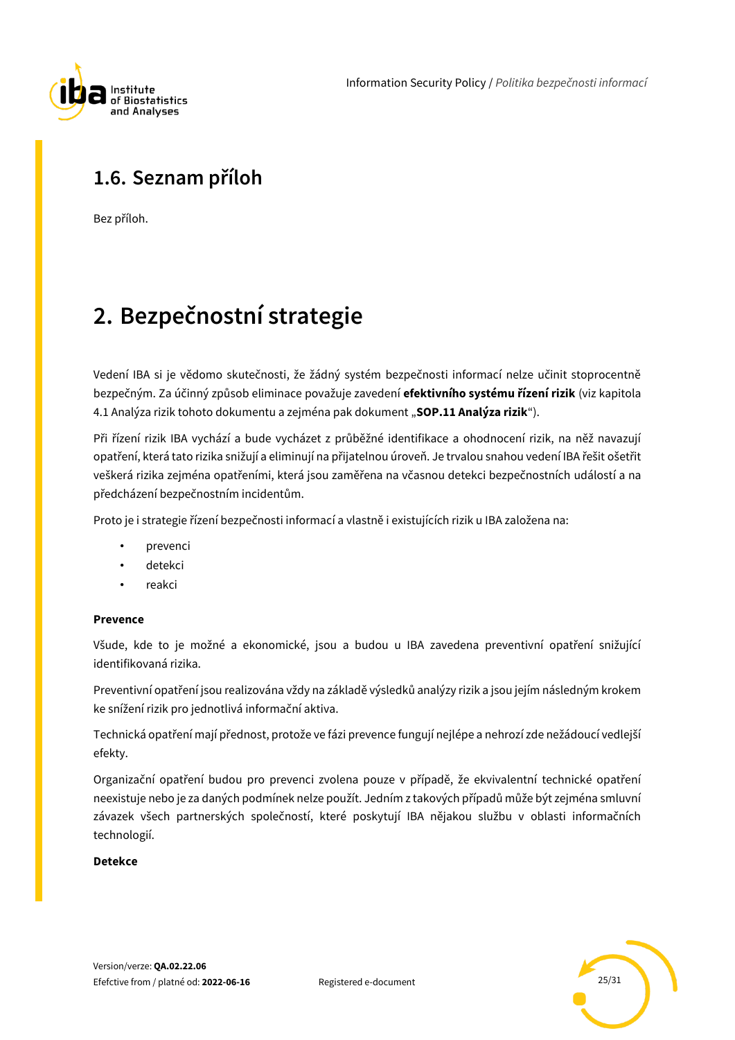

## <span id="page-24-0"></span>**1.6. Seznam příloh**

Bez příloh.

## <span id="page-24-1"></span>**2. Bezpečnostní strategie**

Vedení IBA si je vědomo skutečnosti, že žádný systém bezpečnosti informací nelze učinit stoprocentně bezpečným. Za účinný způsob eliminace považuje zavedení **efektivního systému řízení rizik** (viz kapitola 4.1 Analýza rizik tohoto dokumentu a zejména pak dokument "SOP.11 Analýza rizik").

Při řízení rizik IBA vychází a bude vycházet z průběžné identifikace a ohodnocení rizik, na něž navazují opatření, která tato rizika snižují a eliminují na přijatelnou úroveň. Je trvalou snahou vedení IBA řešit ošetřit veškerá rizika zejména opatřeními, která jsou zaměřena na včasnou detekci bezpečnostních událostí a na předcházení bezpečnostním incidentům.

Proto je i strategie řízení bezpečnosti informací a vlastně i existujících rizik u IBA založena na:

- prevenci
- detekci
- reakci

### **Prevence**

Všude, kde to je možné a ekonomické, jsou a budou u IBA zavedena preventivní opatření snižující identifikovaná rizika.

Preventivní opatření jsou realizována vždy na základě výsledků analýzy rizik a jsou jejím následným krokem ke snížení rizik pro jednotlivá informační aktiva.

Technická opatření mají přednost, protože ve fázi prevence fungují nejlépe a nehrozí zde nežádoucí vedlejší efekty.

Organizační opatření budou pro prevenci zvolena pouze v případě, že ekvivalentní technické opatření neexistuje nebo je za daných podmínek nelze použít. Jedním z takových případů může být zejména smluvní závazek všech partnerských společností, které poskytují IBA nějakou službu v oblasti informačních technologií.

### **Detekce**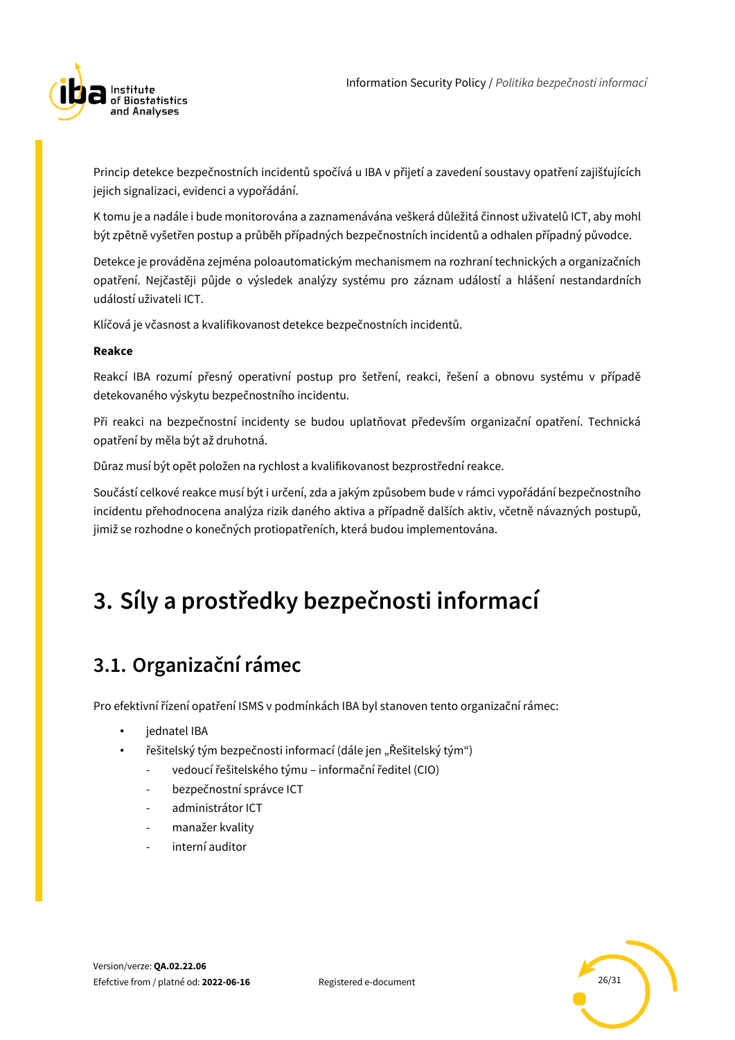

Princip detekce bezpečnostních incidentů spočívá u IBA v přijetí a zavedení soustavy opatření zajišťujících jejich signalizaci, evidenci a vypořádání.

K tomu je a nadále i bude monitorována a zaznamenávána veškerá důležitá činnost uživatelů ICT, aby mohl být zpětně vyšetřen postup a průběh případných bezpečnostních incidentů a odhalen případný původce.

Detekce je prováděna zejména poloautomatickým mechanismem na rozhraní technických a organizačních opatření. Nejčastěji půjde o výsledek analýzy systému pro záznam událostí a hlášení nestandardních událostí uživateli ICT.

Klíčová je včasnost a kvalifikovanost detekce bezpečnostních incidentů.

### **Reakce**

Reakcí IBA rozumí přesný operativní postup pro šetření, reakci, řešení a obnovu systému v případě detekovaného výskytu bezpečnostního incidentu.

Při reakci na bezpečnostní incidenty se budou uplatňovat především organizační opatření. Technická opatření by měla být až druhotná.

Důraz musí být opět položen na rychlost a kvalifikovanost bezprostřední reakce.

Součástí celkové reakce musí být i určení, zda a jakým způsobem bude v rámci vypořádání bezpečnostního incidentu přehodnocena analýza rizik daného aktiva a případně dalších aktiv, včetně návazných postupů, jimiž se rozhodne o konečných protiopatřeních, která budou implementována.

# <span id="page-25-0"></span>**3. Síly a prostředky bezpečnosti informací**

## <span id="page-25-1"></span>**3.1. Organizační rámec**

Pro efektivní řízení opatření ISMS v podmínkách IBA byl stanoven tento organizační rámec:

- iednatel IBA
- řešitelský tým bezpečnosti informací (dále jen "Řešitelský tým")
	- vedoucí řešitelského týmu informační ředitel (CIO)
	- bezpečnostní správce ICT
	- administrátor ICT
	- manažer kvality
	- interní auditor

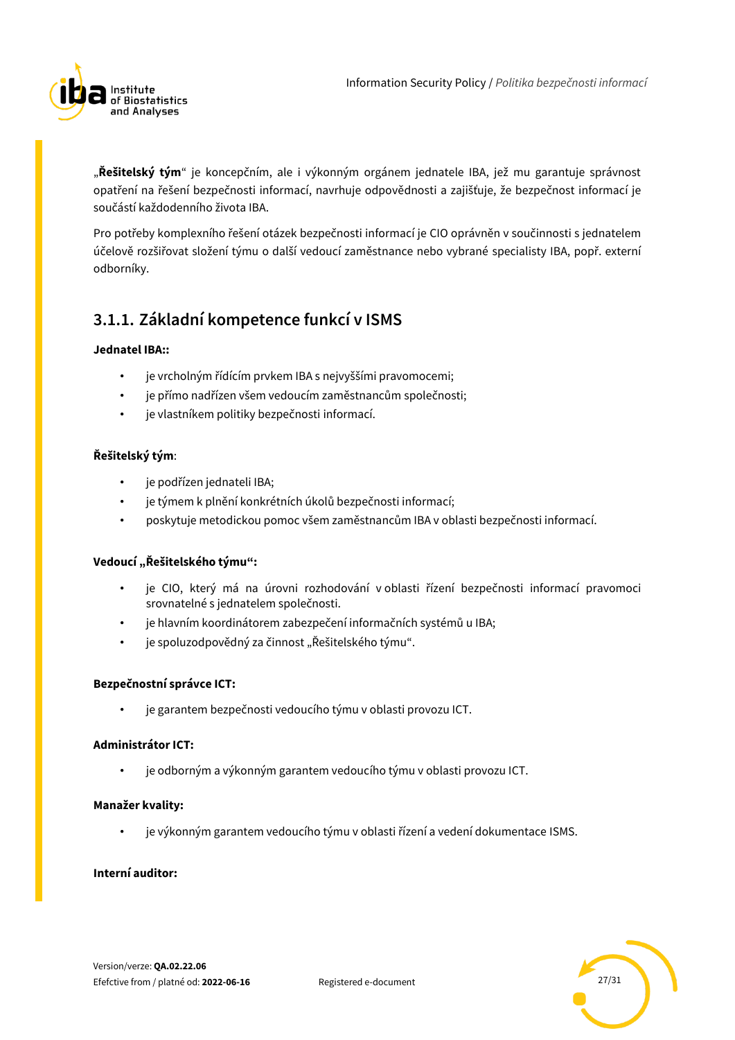

"**Řešitelský tým**" je koncepčním, ale i výkonným orgánem jednatele IBA, jež mu garantuje správnost opatření na řešení bezpečnosti informací, navrhuje odpovědnosti a zajišťuje, že bezpečnost informací je součástí každodenního života IBA.

Pro potřeby komplexního řešení otázek bezpečnosti informací je CIO oprávněn v součinnosti s jednatelem účelově rozšiřovat složení týmu o další vedoucí zaměstnance nebo vybrané specialisty IBA, popř. externí odborníky.

### <span id="page-26-0"></span>**3.1.1. Základní kompetence funkcí v ISMS**

### **Jednatel IBA::**

- je vrcholným řídícím prvkem IBA s nejvyššími pravomocemi;
- je přímo nadřízen všem vedoucím zaměstnancům společnosti;
- je vlastníkem politiky bezpečnosti informací.

### **Řešitelský tým**:

- je podřízen jednateli IBA;
- je týmem k plnění konkrétních úkolů bezpečnosti informací;
- poskytuje metodickou pomoc všem zaměstnancům IBA v oblasti bezpečnosti informací.

### **Vedoucí "Řešitelského týmu":**

- je CIO, který má na úrovni rozhodování v oblasti řízení bezpečnosti informací pravomoci srovnatelné s jednatelem společnosti.
- je hlavním koordinátorem zabezpečení informačních systémů u IBA;
- je spoluzodpovědný za činnost "Řešitelského týmu".

### **Bezpečnostní správce ICT:**

• je garantem bezpečnosti vedoucího týmu v oblasti provozu ICT.

### **Administrátor ICT:**

• je odborným a výkonným garantem vedoucího týmu v oblasti provozu ICT.

### **Manažer kvality:**

• je výkonným garantem vedoucího týmu v oblasti řízení a vedení dokumentace ISMS.

### **Interní auditor:**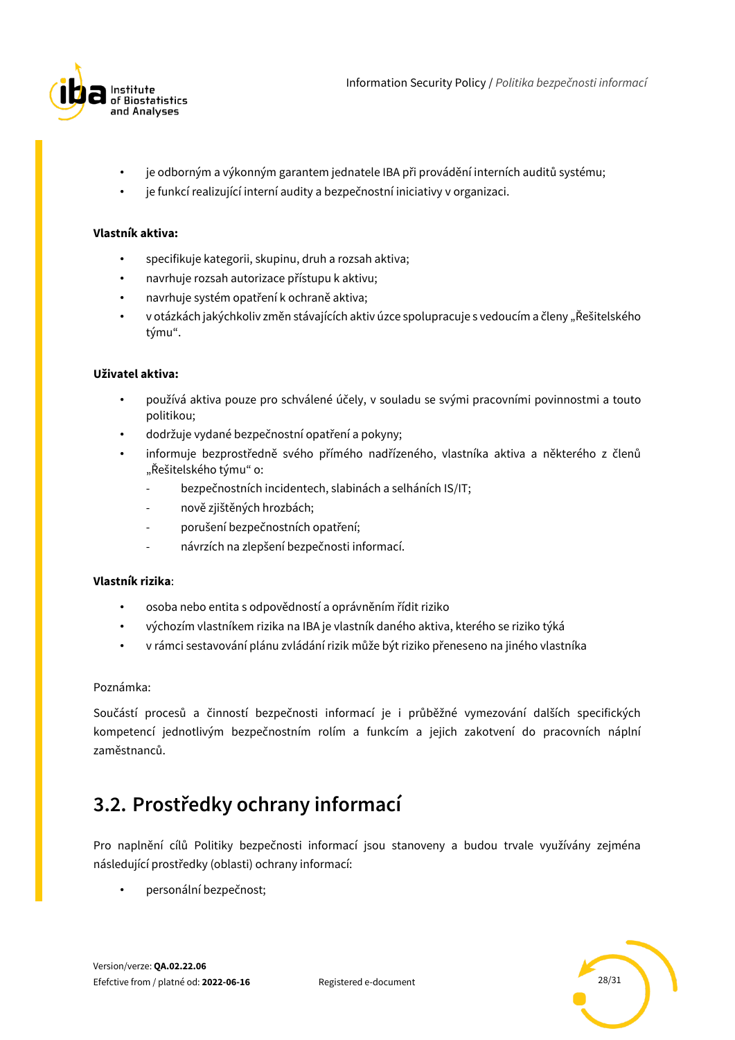

- je odborným a výkonným garantem jednatele IBA při provádění interních auditů systému;
- je funkcí realizující interní audity a bezpečnostní iniciativy v organizaci.

#### **Vlastník aktiva:**

- specifikuje kategorii, skupinu, druh a rozsah aktiva;
- navrhuje rozsah autorizace přístupu k aktivu;
- navrhuje systém opatření k ochraně aktiva;
- v otázkách jakýchkoliv změn stávajících aktiv úzce spolupracuje s vedoucím a členy "Řešitelského týmu".

#### **Uživatel aktiva:**

- používá aktiva pouze pro schválené účely, v souladu se svými pracovními povinnostmi a touto politikou;
- dodržuje vydané bezpečnostní opatření a pokyny;
- informuje bezprostředně svého přímého nadřízeného, vlastníka aktiva a některého z členů "Řešitelského týmu" o:
	- bezpečnostních incidentech, slabinách a selháních IS/IT;
	- nově zjištěných hrozbách;
	- porušení bezpečnostních opatření;
	- návrzích na zlepšení bezpečnosti informací.

### **Vlastník rizika**:

- osoba nebo entita s odpovědností a oprávněním řídit riziko
- výchozím vlastníkem rizika na IBA je vlastník daného aktiva, kterého se riziko týká
- v rámci sestavování plánu zvládání rizik může být riziko přeneseno na jiného vlastníka

### Poznámka:

Součástí procesů a činností bezpečnosti informací je i průběžné vymezování dalších specifických kompetencí jednotlivým bezpečnostním rolím a funkcím a jejich zakotvení do pracovních náplní zaměstnanců.

## <span id="page-27-0"></span>**3.2. Prostředky ochrany informací**

Pro naplnění cílů Politiky bezpečnosti informací jsou stanoveny a budou trvale využívány zejména následující prostředky (oblasti) ochrany informací:

• personální bezpečnost;

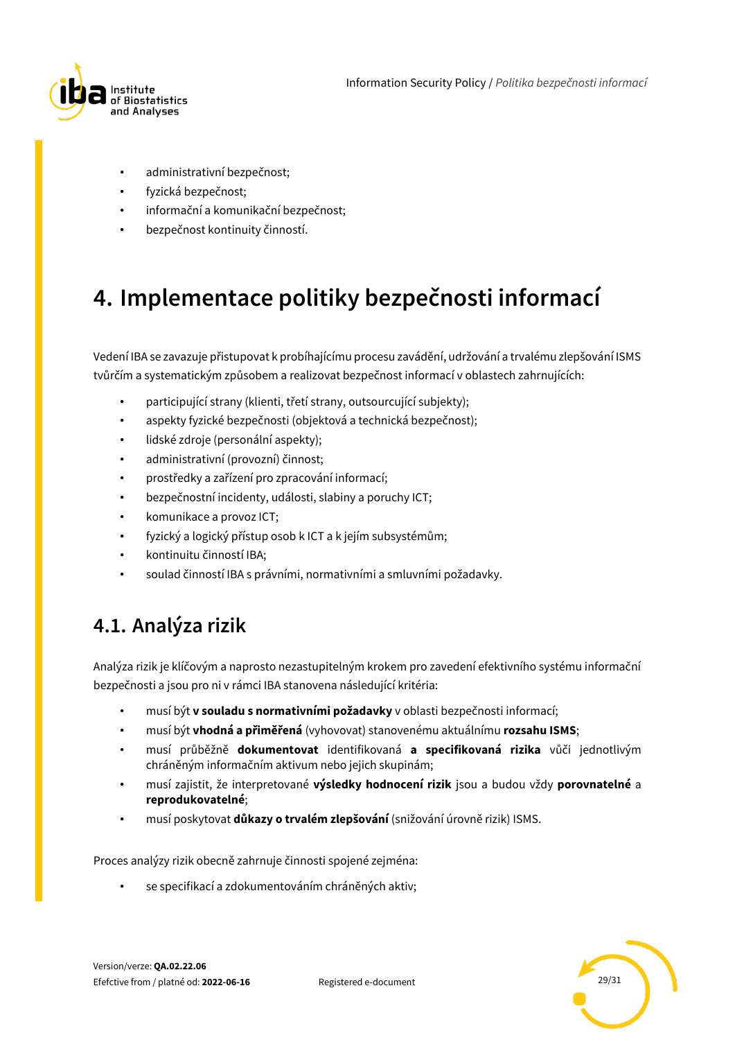

- administrativní bezpečnost;
- fyzická bezpečnost;
- informační a komunikační bezpečnost;
- <span id="page-28-0"></span>• bezpečnost kontinuity činností.

## **4. Implementace politiky bezpečnosti informací**

Vedení IBA se zavazuje přistupovat k probíhajícímu procesu zavádění, udržování a trvalému zlepšování ISMS tvůrčím a systematickým způsobem a realizovat bezpečnost informací v oblastech zahrnujících:

- participující strany (klienti, třetí strany, outsourcující subjekty);
- aspekty fyzické bezpečnosti (objektová a technická bezpečnost);
- lidské zdroje (personální aspekty);
- administrativní (provozní) činnost;
- prostředky a zařízení pro zpracování informací;
- bezpečnostní incidenty, události, slabiny a poruchy ICT;
- komunikace a provoz ICT;
- fyzický a logický přístup osob k ICT a k jejím subsystémům;
- kontinuitu činností IBA;
- soulad činností IBA s právními, normativními a smluvními požadavky.

## <span id="page-28-1"></span>**4.1. Analýza rizik**

Analýza rizik je klíčovým a naprosto nezastupitelným krokem pro zavedení efektivního systému informační bezpečnosti a jsou pro ni v rámci IBA stanovena následující kritéria:

- musí být **v souladu s normativními požadavky** v oblasti bezpečnosti informací;
- musí být **vhodná a přiměřená** (vyhovovat) stanovenému aktuálnímu **rozsahu ISMS**;
- musí průběžně **dokumentovat** identifikovaná **a specifikovaná rizika** vůči jednotlivým chráněným informačním aktivum nebo jejich skupinám;
- musí zajistit, že interpretované **výsledky hodnocení rizik** jsou a budou vždy **porovnatelné** a **reprodukovatelné**;
- musí poskytovat **důkazy o trvalém zlepšování** (snižování úrovně rizik) ISMS.

Proces analýzy rizik obecně zahrnuje činnosti spojené zejména:

• se specifikací a zdokumentováním chráněných aktiv;

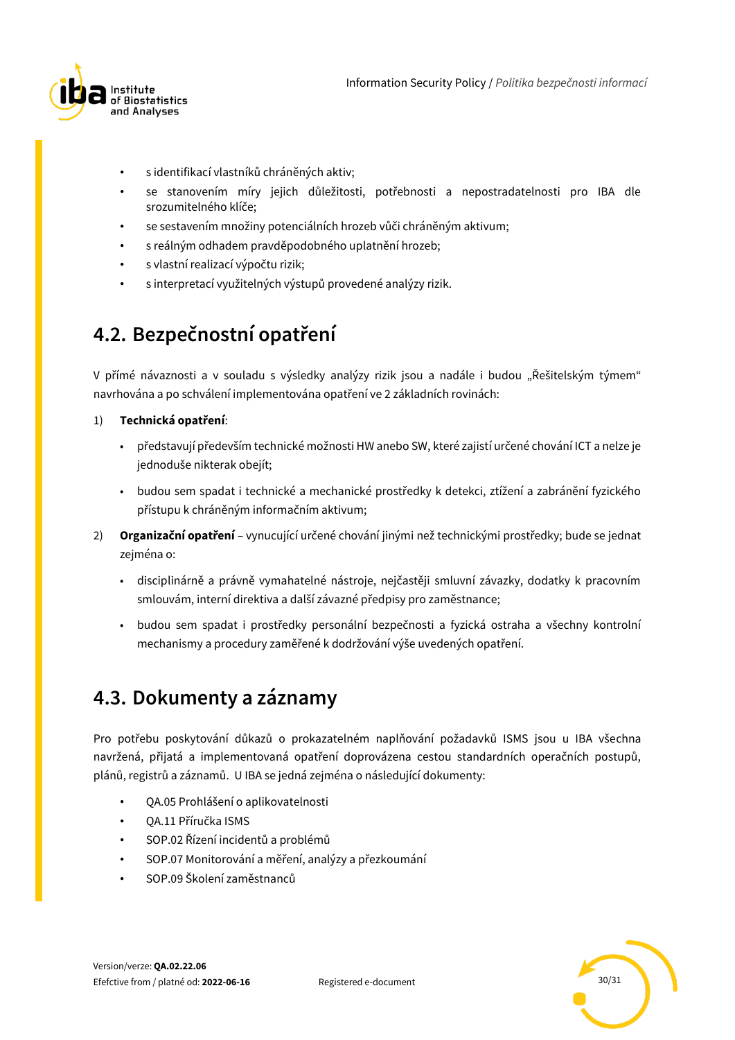

- s identifikací vlastníků chráněných aktiv;
- se stanovením míry jejich důležitosti, potřebnosti a nepostradatelnosti pro IBA dle srozumitelného klíče;
- se sestavením množiny potenciálních hrozeb vůči chráněným aktivum;
- s reálným odhadem pravděpodobného uplatnění hrozeb;
- s vlastní realizací výpočtu rizik;
- s interpretací využitelných výstupů provedené analýzy rizik.

## <span id="page-29-0"></span>**4.2. Bezpečnostní opatření**

V přímé návaznosti a v souladu s výsledky analýzy rizik jsou a nadále i budou "Řešitelským týmem" navrhována a po schválení implementována opatření ve 2 základních rovinách:

### 1) **Technická opatření**:

- představují především technické možnosti HW anebo SW, které zajistí určené chování ICT a nelze je jednoduše nikterak obejít;
- budou sem spadat i technické a mechanické prostředky k detekci, ztížení a zabránění fyzického přístupu k chráněným informačním aktivum;
- 2) **Organizační opatření** vynucující určené chování jinými než technickými prostředky; bude se jednat zejména o:
	- disciplinárně a právně vymahatelné nástroje, nejčastěji smluvní závazky, dodatky k pracovním smlouvám, interní direktiva a další závazné předpisy pro zaměstnance;
	- budou sem spadat i prostředky personální bezpečnosti a fyzická ostraha a všechny kontrolní mechanismy a procedury zaměřené k dodržování výše uvedených opatření.

## <span id="page-29-1"></span>**4.3. Dokumenty a záznamy**

Pro potřebu poskytování důkazů o prokazatelném naplňování požadavků ISMS jsou u IBA všechna navržená, přijatá a implementovaná opatření doprovázena cestou standardních operačních postupů, plánů, registrů a záznamů. U IBA se jedná zejména o následující dokumenty:

- QA.05 Prohlášení o aplikovatelnosti
- QA.11 Příručka ISMS
- SOP.02 Řízení incidentů a problémů
- SOP.07 Monitorování a měření, analýzy a přezkoumání
- SOP.09 Školení zaměstnanců